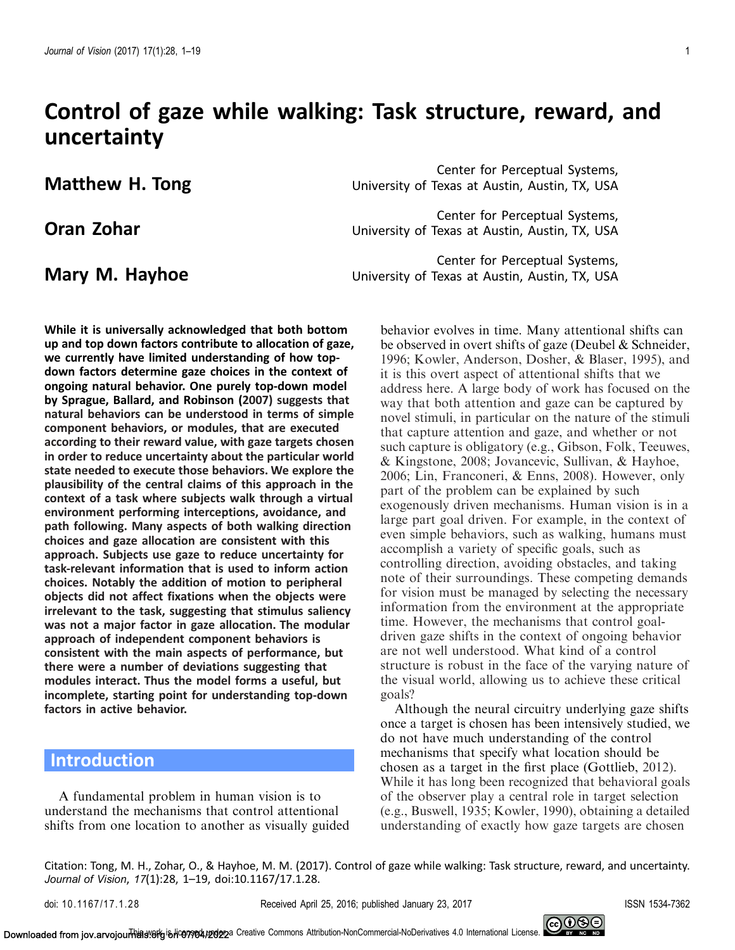# <span id="page-0-0"></span>Control of gaze while walking: Task structure, reward, and uncertainty

Center for Perceptual Systems,<br>University of Texas at Austin, Austin, TX, USA

Center for Perceptual Systems,<br>University of Texas at Austin, Austin, TX, USA

Center for Perceptual Systems,<br>University of Texas at Austin, Austin, TX, USA

While it is universally acknowledged that both bottom up and top down factors contribute to allocation of gaze, we currently have limited understanding of how topdown factors determine gaze choices in the context of ongoing natural behavior. One purely top-down model by Sprague, Ballard, and Robinson [\(2007\)](#page-17-0) suggests that natural behaviors can be understood in terms of simple component behaviors, or modules, that are executed according to their reward value, with gaze targets chosen in order to reduce uncertainty about the particular world state needed to execute those behaviors. We explore the plausibility of the central claims of this approach in the context of a task where subjects walk through a virtual environment performing interceptions, avoidance, and path following. Many aspects of both walking direction choices and gaze allocation are consistent with this approach. Subjects use gaze to reduce uncertainty for task-relevant information that is used to inform action choices. Notably the addition of motion to peripheral objects did not affect fixations when the objects were irrelevant to the task, suggesting that stimulus saliency was not a major factor in gaze allocation. The modular approach of independent component behaviors is consistent with the main aspects of performance, but there were a number of deviations suggesting that modules interact. Thus the model forms a useful, but incomplete, starting point for understanding top-down factors in active behavior.

## Introduction

A fundamental problem in human vision is to understand the mechanisms that control attentional shifts from one location to another as visually guided behavior evolves in time. Many attentional shifts can be observed in overt shifts of gaze (Deubel & Schneider, [1996;](#page-16-0) Kowler, Anderson, Dosher, & Blaser, [1995\)](#page-16-0), and it is this overt aspect of attentional shifts that we address here. A large body of work has focused on the way that both attention and gaze can be captured by novel stimuli, in particular on the nature of the stimuli that capture attention and gaze, and whether or not such capture is obligatory (e.g., Gibson, Folk, Teeuwes, & Kingstone, [2008;](#page-16-0) Jovancevic, Sullivan, & Hayhoe, [2006;](#page-16-0) Lin, Franconeri, & Enns, [2008](#page-17-0)). However, only part of the problem can be explained by such exogenously driven mechanisms. Human vision is in a large part goal driven. For example, in the context of even simple behaviors, such as walking, humans must accomplish a variety of specific goals, such as controlling direction, avoiding obstacles, and taking note of their surroundings. These competing demands for vision must be managed by selecting the necessary information from the environment at the appropriate time. However, the mechanisms that control goaldriven gaze shifts in the context of ongoing behavior are not well understood. What kind of a control structure is robust in the face of the varying nature of the visual world, allowing us to achieve these critical goals?

Although the neural circuitry underlying gaze shifts once a target is chosen has been intensively studied, we do not have much understanding of the control mechanisms that specify what location should be chosen as a target in the first place (Gottlieb, [2012](#page-16-0)). While it has long been recognized that behavioral goals of the observer play a central role in target selection (e.g., Buswell, [1935;](#page-16-0) Kowler, [1990\)](#page-16-0), obtaining a detailed understanding of exactly how gaze targets are chosen

Citation: Tong, M. H., Zohar, O., & Hayhoe, M. M. (2017). Control of gaze while walking: Task structure, reward, and uncertainty. Journal of Vision, 17(1):28, 1–19, doi:10.1167/17.1.28.

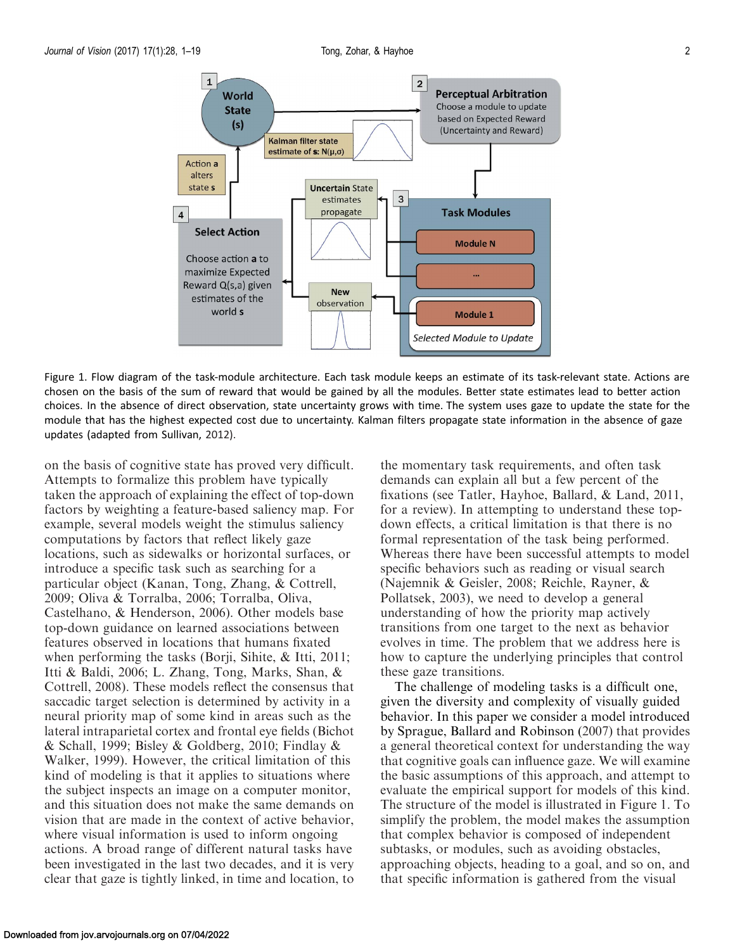

Figure 1. Flow diagram of the task-module architecture. Each task module keeps an estimate of its task-relevant state. Actions are chosen on the basis of the sum of reward that would be gained by all the modules. Better state estimates lead to better action choices. In the absence of direct observation, state uncertainty grows with time. The system uses gaze to update the state for the module that has the highest expected cost due to uncertainty. Kalman filters propagate state information in the absence of gaze updates (adapted from Sullivan, [2012](#page-17-0)).

on the basis of cognitive state has proved very difficult. Attempts to formalize this problem have typically taken the approach of explaining the effect of top-down factors by weighting a feature-based saliency map. For example, several models weight the stimulus saliency computations by factors that reflect likely gaze locations, such as sidewalks or horizontal surfaces, or introduce a specific task such as searching for a particular object (Kanan, Tong, Zhang, & Cottrell, [2009;](#page-16-0) Oliva & Torralba, [2006;](#page-17-0) Torralba, Oliva, Castelhano, & Henderson, [2006\)](#page-17-0). Other models base top-down guidance on learned associations between features observed in locations that humans fixated when performing the tasks (Borji, Sihite, & Itti, [2011;](#page-16-0) Itti & Baldi, [2006](#page-16-0); L. Zhang, Tong, Marks, Shan, & Cottrell, [2008](#page-18-0)). These models reflect the consensus that saccadic target selection is determined by activity in a neural priority map of some kind in areas such as the lateral intraparietal cortex and frontal eye fields (Bichot & Schall, [1999;](#page-15-0) Bisley & Goldberg, [2010](#page-15-0); Findlay & Walker, [1999\)](#page-16-0). However, the critical limitation of this kind of modeling is that it applies to situations where the subject inspects an image on a computer monitor, and this situation does not make the same demands on vision that are made in the context of active behavior, where visual information is used to inform ongoing actions. A broad range of different natural tasks have been investigated in the last two decades, and it is very clear that gaze is tightly linked, in time and location, to the momentary task requirements, and often task demands can explain all but a few percent of the fixations (see Tatler, Hayhoe, Ballard, & Land, [2011,](#page-17-0) for a review). In attempting to understand these topdown effects, a critical limitation is that there is no formal representation of the task being performed. Whereas there have been successful attempts to model specific behaviors such as reading or visual search (Najemnik & Geisler, [2008](#page-17-0); Reichle, Rayner, & Pollatsek, [2003](#page-17-0)), we need to develop a general understanding of how the priority map actively transitions from one target to the next as behavior evolves in time. The problem that we address here is how to capture the underlying principles that control these gaze transitions.

The challenge of modeling tasks is a difficult one, given the diversity and complexity of visually guided behavior. In this paper we consider a model introduced by Sprague, Ballard and Robinson [\(2007](#page-17-0)) that provides a general theoretical context for understanding the way that cognitive goals can influence gaze. We will examine the basic assumptions of this approach, and attempt to evaluate the empirical support for models of this kind. The structure of the model is illustrated in Figure 1. To simplify the problem, the model makes the assumption that complex behavior is composed of independent subtasks, or modules, such as avoiding obstacles, approaching objects, heading to a goal, and so on, and that specific information is gathered from the visual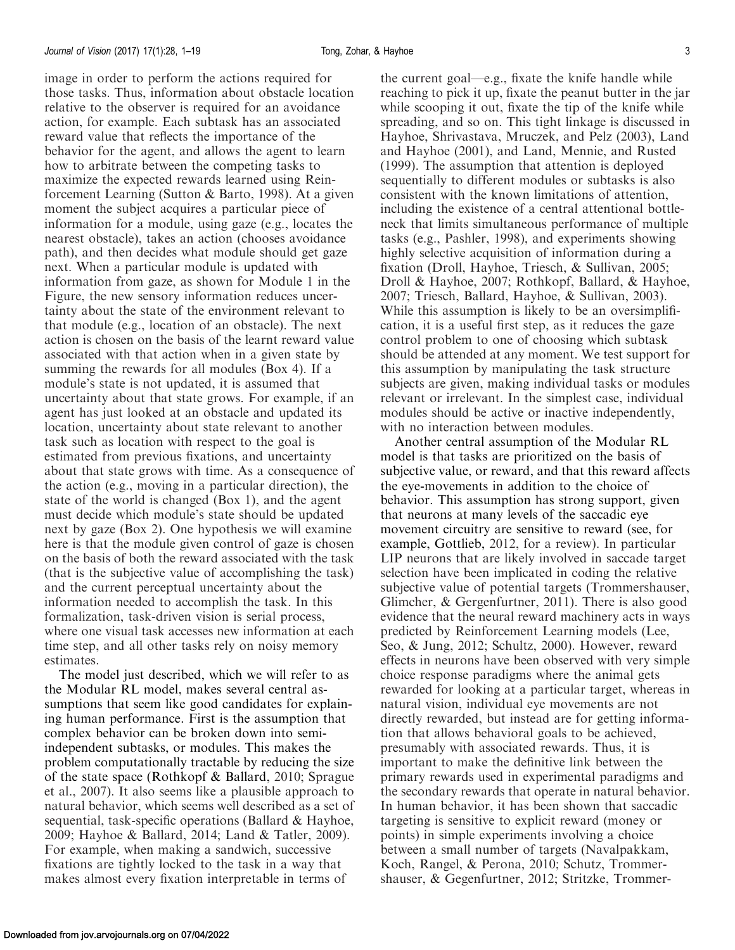image in order to perform the actions required for those tasks. Thus, information about obstacle location relative to the observer is required for an avoidance action, for example. Each subtask has an associated reward value that reflects the importance of the behavior for the agent, and allows the agent to learn how to arbitrate between the competing tasks to maximize the expected rewards learned using Reinforcement Learning (Sutton & Barto, [1998\)](#page-17-0). At a given moment the subject acquires a particular piece of information for a module, using gaze (e.g., locates the nearest obstacle), takes an action (chooses avoidance path), and then decides what module should get gaze next. When a particular module is updated with information from gaze, as shown for Module 1 in the Figure, the new sensory information reduces uncertainty about the state of the environment relevant to that module (e.g., location of an obstacle). The next action is chosen on the basis of the learnt reward value associated with that action when in a given state by summing the rewards for all modules (Box 4). If a module's state is not updated, it is assumed that uncertainty about that state grows. For example, if an agent has just looked at an obstacle and updated its location, uncertainty about state relevant to another task such as location with respect to the goal is estimated from previous fixations, and uncertainty about that state grows with time. As a consequence of the action (e.g., moving in a particular direction), the state of the world is changed (Box 1), and the agent must decide which module's state should be updated next by gaze (Box 2). One hypothesis we will examine here is that the module given control of gaze is chosen on the basis of both the reward associated with the task (that is the subjective value of accomplishing the task) and the current perceptual uncertainty about the information needed to accomplish the task. In this formalization, task-driven vision is serial process, where one visual task accesses new information at each time step, and all other tasks rely on noisy memory estimates.

The model just described, which we will refer to as the Modular RL model, makes several central assumptions that seem like good candidates for explaining human performance. First is the assumption that complex behavior can be broken down into semiindependent subtasks, or modules. This makes the problem computationally tractable by reducing the size of the state space (Rothkopf & Ballard, [2010](#page-17-0); Sprague et al., [2007\)](#page-17-0). It also seems like a plausible approach to natural behavior, which seems well described as a set of sequential, task-specific operations (Ballard & Hayhoe, [2009;](#page-15-0) Hayhoe & Ballard, [2014](#page-16-0); Land & Tatler, [2009](#page-17-0)). For example, when making a sandwich, successive fixations are tightly locked to the task in a way that makes almost every fixation interpretable in terms of

the current goal—e.g., fixate the knife handle while reaching to pick it up, fixate the peanut butter in the jar while scooping it out, fixate the tip of the knife while spreading, and so on. This tight linkage is discussed in Hayhoe, Shrivastava, Mruczek, and Pelz [\(2003](#page-16-0)), Land and Hayhoe [\(2001](#page-16-0)), and Land, Mennie, and Rusted ([1999](#page-16-0)). The assumption that attention is deployed sequentially to different modules or subtasks is also consistent with the known limitations of attention, including the existence of a central attentional bottleneck that limits simultaneous performance of multiple tasks (e.g., Pashler, [1998](#page-17-0)), and experiments showing highly selective acquisition of information during a fixation (Droll, Hayhoe, Triesch, & Sullivan, [2005;](#page-16-0) Droll & Hayhoe, [2007](#page-16-0); Rothkopf, Ballard, & Hayhoe, [2007;](#page-17-0) Triesch, Ballard, Hayhoe, & Sullivan, [2003](#page-18-0)). While this assumption is likely to be an oversimplification, it is a useful first step, as it reduces the gaze control problem to one of choosing which subtask should be attended at any moment. We test support for this assumption by manipulating the task structure subjects are given, making individual tasks or modules relevant or irrelevant. In the simplest case, individual modules should be active or inactive independently, with no interaction between modules.

Another central assumption of the Modular RL model is that tasks are prioritized on the basis of subjective value, or reward, and that this reward affects the eye-movements in addition to the choice of behavior. This assumption has strong support, given that neurons at many levels of the saccadic eye movement circuitry are sensitive to reward (see, for example, Gottlieb, [2012,](#page-16-0) for a review). In particular LIP neurons that are likely involved in saccade target selection have been implicated in coding the relative subjective value of potential targets (Trommershauser, Glimcher, & Gergenfurtner, [2011\)](#page-18-0). There is also good evidence that the neural reward machinery acts in ways predicted by Reinforcement Learning models (Lee, Seo, & Jung, [2012](#page-17-0); Schultz, [2000\)](#page-17-0). However, reward effects in neurons have been observed with very simple choice response paradigms where the animal gets rewarded for looking at a particular target, whereas in natural vision, individual eye movements are not directly rewarded, but instead are for getting information that allows behavioral goals to be achieved, presumably with associated rewards. Thus, it is important to make the definitive link between the primary rewards used in experimental paradigms and the secondary rewards that operate in natural behavior. In human behavior, it has been shown that saccadic targeting is sensitive to explicit reward (money or points) in simple experiments involving a choice between a small number of targets (Navalpakkam, Koch, Rangel, & Perona, [2010](#page-17-0); Schutz, Trommershauser, & Gegenfurtner, [2012;](#page-17-0) Stritzke, Trommer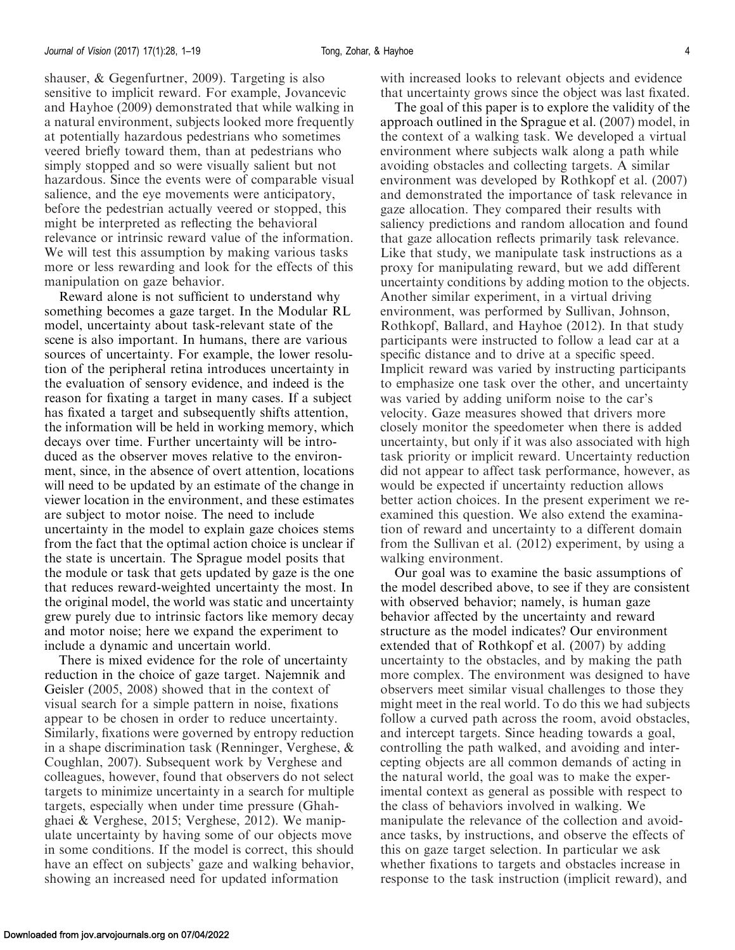shauser, & Gegenfurtner, [2009\)](#page-17-0). Targeting is also sensitive to implicit reward. For example, Jovancevic and Hayhoe [\(2009](#page-16-0)) demonstrated that while walking in a natural environment, subjects looked more frequently at potentially hazardous pedestrians who sometimes veered briefly toward them, than at pedestrians who simply stopped and so were visually salient but not hazardous. Since the events were of comparable visual salience, and the eye movements were anticipatory, before the pedestrian actually veered or stopped, this might be interpreted as reflecting the behavioral relevance or intrinsic reward value of the information. We will test this assumption by making various tasks more or less rewarding and look for the effects of this manipulation on gaze behavior.

Reward alone is not sufficient to understand why something becomes a gaze target. In the Modular RL model, uncertainty about task-relevant state of the scene is also important. In humans, there are various sources of uncertainty. For example, the lower resolution of the peripheral retina introduces uncertainty in the evaluation of sensory evidence, and indeed is the reason for fixating a target in many cases. If a subject has fixated a target and subsequently shifts attention, the information will be held in working memory, which decays over time. Further uncertainty will be introduced as the observer moves relative to the environment, since, in the absence of overt attention, locations will need to be updated by an estimate of the change in viewer location in the environment, and these estimates are subject to motor noise. The need to include uncertainty in the model to explain gaze choices stems from the fact that the optimal action choice is unclear if the state is uncertain. The Sprague model posits that the module or task that gets updated by gaze is the one that reduces reward-weighted uncertainty the most. In the original model, the world was static and uncertainty grew purely due to intrinsic factors like memory decay and motor noise; here we expand the experiment to include a dynamic and uncertain world.

There is mixed evidence for the role of uncertainty reduction in the choice of gaze target. Najemnik and Geisler [\(2005](#page-17-0), [2008\)](#page-17-0) showed that in the context of visual search for a simple pattern in noise, fixations appear to be chosen in order to reduce uncertainty. Similarly, fixations were governed by entropy reduction in a shape discrimination task (Renninger, Verghese, & Coughlan, [2007](#page-17-0)). Subsequent work by Verghese and colleagues, however, found that observers do not select targets to minimize uncertainty in a search for multiple targets, especially when under time pressure (Ghahghaei & Verghese, [2015](#page-16-0); Verghese, [2012](#page-18-0)). We manipulate uncertainty by having some of our objects move in some conditions. If the model is correct, this should have an effect on subjects' gaze and walking behavior, showing an increased need for updated information

with increased looks to relevant objects and evidence that uncertainty grows since the object was last fixated.

The goal of this paper is to explore the validity of the approach outlined in the Sprague et al. [\(2007](#page-17-0)) model, in the context of a walking task. We developed a virtual environment where subjects walk along a path while avoiding obstacles and collecting targets. A similar environment was developed by Rothkopf et al. [\(2007\)](#page-17-0) and demonstrated the importance of task relevance in gaze allocation. They compared their results with saliency predictions and random allocation and found that gaze allocation reflects primarily task relevance. Like that study, we manipulate task instructions as a proxy for manipulating reward, but we add different uncertainty conditions by adding motion to the objects. Another similar experiment, in a virtual driving environment, was performed by Sullivan, Johnson, Rothkopf, Ballard, and Hayhoe ([2012\)](#page-17-0). In that study participants were instructed to follow a lead car at a specific distance and to drive at a specific speed. Implicit reward was varied by instructing participants to emphasize one task over the other, and uncertainty was varied by adding uniform noise to the car's velocity. Gaze measures showed that drivers more closely monitor the speedometer when there is added uncertainty, but only if it was also associated with high task priority or implicit reward. Uncertainty reduction did not appear to affect task performance, however, as would be expected if uncertainty reduction allows better action choices. In the present experiment we reexamined this question. We also extend the examination of reward and uncertainty to a different domain from the Sullivan et al. [\(2012\)](#page-17-0) experiment, by using a walking environment.

Our goal was to examine the basic assumptions of the model described above, to see if they are consistent with observed behavior; namely, is human gaze behavior affected by the uncertainty and reward structure as the model indicates? Our environment extended that of Rothkopf et al. [\(2007](#page-17-0)) by adding uncertainty to the obstacles, and by making the path more complex. The environment was designed to have observers meet similar visual challenges to those they might meet in the real world. To do this we had subjects follow a curved path across the room, avoid obstacles, and intercept targets. Since heading towards a goal, controlling the path walked, and avoiding and intercepting objects are all common demands of acting in the natural world, the goal was to make the experimental context as general as possible with respect to the class of behaviors involved in walking. We manipulate the relevance of the collection and avoidance tasks, by instructions, and observe the effects of this on gaze target selection. In particular we ask whether fixations to targets and obstacles increase in response to the task instruction (implicit reward), and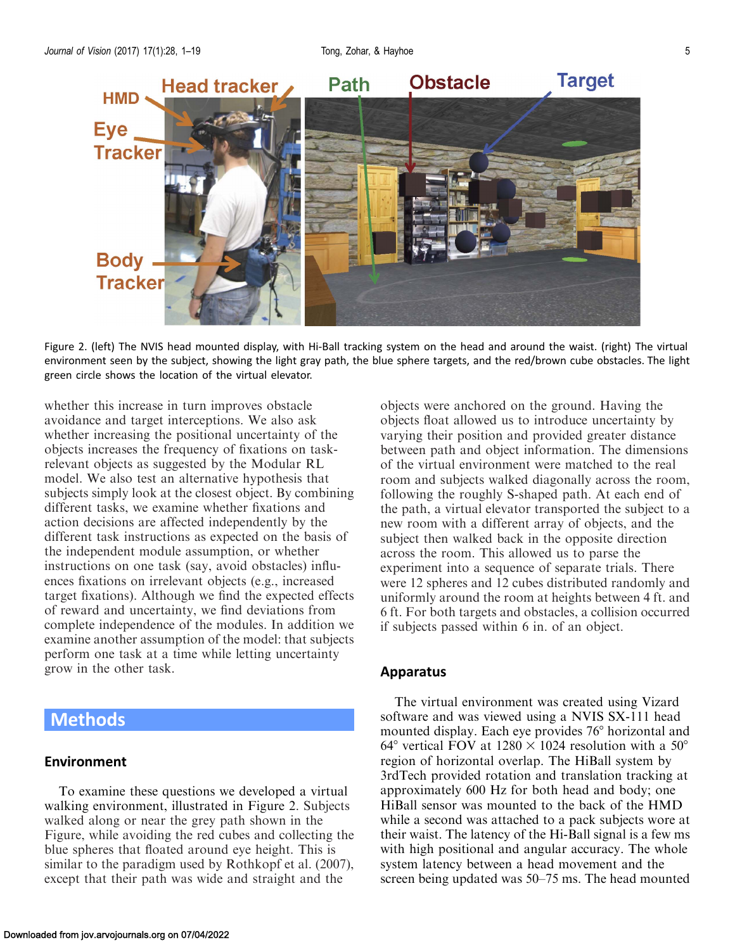

Figure 2. (left) The NVIS head mounted display, with Hi-Ball tracking system on the head and around the waist. (right) The virtual environment seen by the subject, showing the light gray path, the blue sphere targets, and the red/brown cube obstacles. The light green circle shows the location of the virtual elevator.

whether this increase in turn improves obstacle avoidance and target interceptions. We also ask whether increasing the positional uncertainty of the objects increases the frequency of fixations on taskrelevant objects as suggested by the Modular RL model. We also test an alternative hypothesis that subjects simply look at the closest object. By combining different tasks, we examine whether fixations and action decisions are affected independently by the different task instructions as expected on the basis of the independent module assumption, or whether instructions on one task (say, avoid obstacles) influences fixations on irrelevant objects (e.g., increased target fixations). Although we find the expected effects of reward and uncertainty, we find deviations from complete independence of the modules. In addition we examine another assumption of the model: that subjects perform one task at a time while letting uncertainty grow in the other task.

## Methods

#### Environment

To examine these questions we developed a virtual walking environment, illustrated in Figure 2. Subjects walked along or near the grey path shown in the Figure, while avoiding the red cubes and collecting the blue spheres that floated around eye height. This is similar to the paradigm used by Rothkopf et al. ([2007](#page-17-0)), except that their path was wide and straight and the

objects were anchored on the ground. Having the objects float allowed us to introduce uncertainty by varying their position and provided greater distance between path and object information. The dimensions of the virtual environment were matched to the real room and subjects walked diagonally across the room, following the roughly S-shaped path. At each end of the path, a virtual elevator transported the subject to a new room with a different array of objects, and the subject then walked back in the opposite direction across the room. This allowed us to parse the experiment into a sequence of separate trials. There were 12 spheres and 12 cubes distributed randomly and uniformly around the room at heights between 4 ft. and 6 ft. For both targets and obstacles, a collision occurred if subjects passed within 6 in. of an object.

#### Apparatus

The virtual environment was created using Vizard software and was viewed using a NVIS SX-111 head mounted display. Each eye provides 76° horizontal and 64° vertical FOV at 1280  $\times$  1024 resolution with a 50° region of horizontal overlap. The HiBall system by 3rdTech provided rotation and translation tracking at approximately 600 Hz for both head and body; one HiBall sensor was mounted to the back of the HMD while a second was attached to a pack subjects wore at their waist. The latency of the Hi-Ball signal is a few ms with high positional and angular accuracy. The whole system latency between a head movement and the screen being updated was 50–75 ms. The head mounted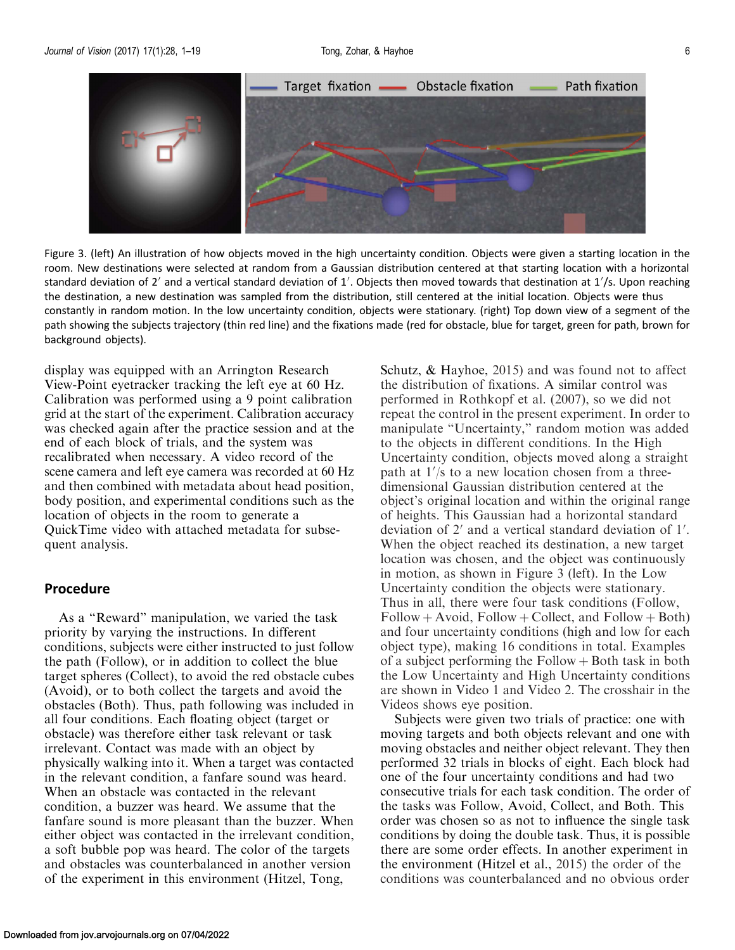<span id="page-5-0"></span>

Figure 3. (left) An illustration of how objects moved in the high uncertainty condition. Objects were given a starting location in the room. New destinations were selected at random from a Gaussian distribution centered at that starting location with a horizontal standard deviation of 2' and a vertical standard deviation of 1'. Objects then moved towards that destination at 1'/s. Upon reaching the destination, a new destination was sampled from the distribution, still centered at the initial location. Objects were thus constantly in random motion. In the low uncertainty condition, objects were stationary. (right) Top down view of a segment of the path showing the subjects trajectory (thin red line) and the fixations made (red for obstacle, blue for target, green for path, brown for background objects).

display was equipped with an Arrington Research View-Point eyetracker tracking the left eye at 60 Hz. Calibration was performed using a 9 point calibration grid at the start of the experiment. Calibration accuracy was checked again after the practice session and at the end of each block of trials, and the system was recalibrated when necessary. A video record of the scene camera and left eye camera was recorded at 60 Hz and then combined with metadata about head position, body position, and experimental conditions such as the location of objects in the room to generate a QuickTime video with attached metadata for subsequent analysis.

#### Procedure

As a ''Reward'' manipulation, we varied the task priority by varying the instructions. In different conditions, subjects were either instructed to just follow the path (Follow), or in addition to collect the blue target spheres (Collect), to avoid the red obstacle cubes (Avoid), or to both collect the targets and avoid the obstacles (Both). Thus, path following was included in all four conditions. Each floating object (target or obstacle) was therefore either task relevant or task irrelevant. Contact was made with an object by physically walking into it. When a target was contacted in the relevant condition, a fanfare sound was heard. When an obstacle was contacted in the relevant condition, a buzzer was heard. We assume that the fanfare sound is more pleasant than the buzzer. When either object was contacted in the irrelevant condition, a soft bubble pop was heard. The color of the targets and obstacles was counterbalanced in another version of the experiment in this environment (Hitzel, Tong,

Schutz, & Hayhoe, [2015](#page-16-0)) and was found not to affect the distribution of fixations. A similar control was performed in Rothkopf et al. [\(2007](#page-17-0)), so we did not repeat the control in the present experiment. In order to manipulate "Uncertainty," random motion was added to the objects in different conditions. In the High Uncertainty condition, objects moved along a straight path at  $1'/s$  to a new location chosen from a threedimensional Gaussian distribution centered at the object's original location and within the original range of heights. This Gaussian had a horizontal standard deviation of  $2'$  and a vertical standard deviation of  $1'$ . When the object reached its destination, a new target location was chosen, and the object was continuously in motion, as shown in Figure 3 (left). In the Low Uncertainty condition the objects were stationary. Thus in all, there were four task conditions (Follow,  $Follow + Avoid, Follow + Collect, and Follow + Both)$ and four uncertainty conditions (high and low for each object type), making 16 conditions in total. Examples of a subject performing the Follow  $+$  Both task in both the Low Uncertainty and High Uncertainty conditions are shown in Video 1 and Video 2. The crosshair in the Videos shows eye position.

Subjects were given two trials of practice: one with moving targets and both objects relevant and one with moving obstacles and neither object relevant. They then performed 32 trials in blocks of eight. Each block had one of the four uncertainty conditions and had two consecutive trials for each task condition. The order of the tasks was Follow, Avoid, Collect, and Both. This order was chosen so as not to influence the single task conditions by doing the double task. Thus, it is possible there are some order effects. In another experiment in the environment (Hitzel et al., [2015](#page-16-0)) the order of the conditions was counterbalanced and no obvious order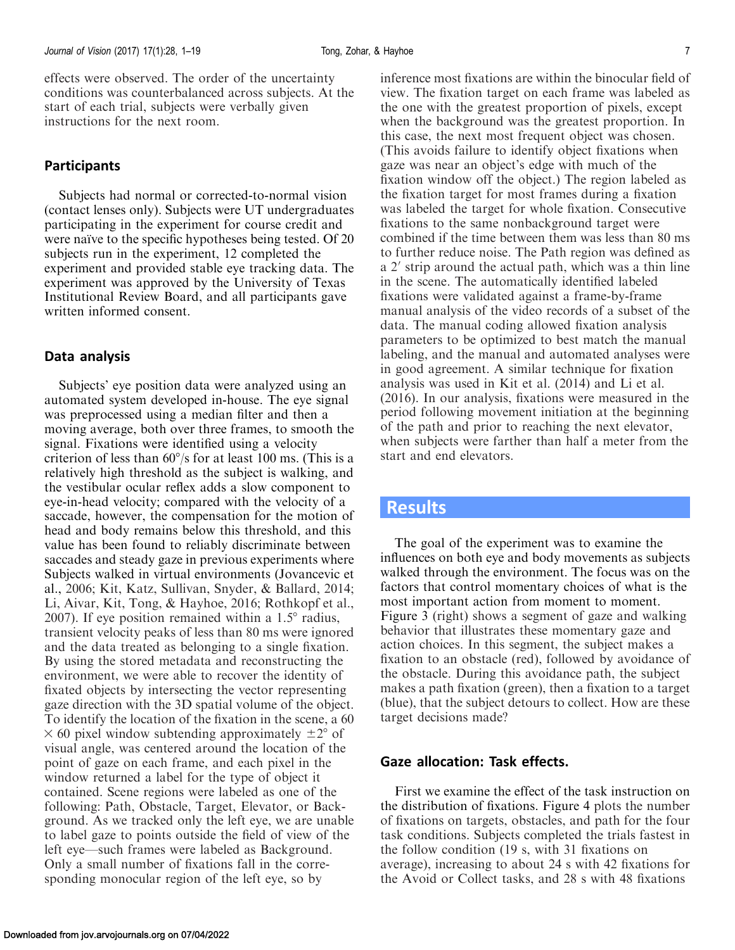effects were observed. The order of the uncertainty conditions was counterbalanced across subjects. At the start of each trial, subjects were verbally given instructions for the next room.

#### **Participants**

Subjects had normal or corrected-to-normal vision (contact lenses only). Subjects were UT undergraduates participating in the experiment for course credit and were naïve to the specific hypotheses being tested. Of 20 subjects run in the experiment, 12 completed the experiment and provided stable eye tracking data. The experiment was approved by the University of Texas Institutional Review Board, and all participants gave written informed consent.

#### Data analysis

Subjects' eye position data were analyzed using an automated system developed in-house. The eye signal was preprocessed using a median filter and then a moving average, both over three frames, to smooth the signal. Fixations were identified using a velocity criterion of less than  $60^{\circ}/s$  for at least 100 ms. (This is a relatively high threshold as the subject is walking, and the vestibular ocular reflex adds a slow component to eye-in-head velocity; compared with the velocity of a saccade, however, the compensation for the motion of head and body remains below this threshold, and this value has been found to reliably discriminate between saccades and steady gaze in previous experiments where Subjects walked in virtual environments (Jovancevic et al., [2006;](#page-16-0) Kit, Katz, Sullivan, Snyder, & Ballard, [2014](#page-16-0); Li, Aivar, Kit, Tong, & Hayhoe, [2016](#page-17-0); Rothkopf et al., [2007\)](#page-17-0). If eye position remained within a  $1.5^{\circ}$  radius, transient velocity peaks of less than 80 ms were ignored and the data treated as belonging to a single fixation. By using the stored metadata and reconstructing the environment, we were able to recover the identity of fixated objects by intersecting the vector representing gaze direction with the 3D spatial volume of the object. To identify the location of the fixation in the scene, a 60  $\times$  60 pixel window subtending approximately  $\pm 2^{\circ}$  of visual angle, was centered around the location of the point of gaze on each frame, and each pixel in the window returned a label for the type of object it contained. Scene regions were labeled as one of the following: Path, Obstacle, Target, Elevator, or Background. As we tracked only the left eye, we are unable to label gaze to points outside the field of view of the left eye—such frames were labeled as Background. Only a small number of fixations fall in the corresponding monocular region of the left eye, so by

inference most fixations are within the binocular field of view. The fixation target on each frame was labeled as the one with the greatest proportion of pixels, except when the background was the greatest proportion. In this case, the next most frequent object was chosen. (This avoids failure to identify object fixations when gaze was near an object's edge with much of the fixation window off the object.) The region labeled as the fixation target for most frames during a fixation was labeled the target for whole fixation. Consecutive fixations to the same nonbackground target were combined if the time between them was less than 80 ms to further reduce noise. The Path region was defined as a  $2'$  strip around the actual path, which was a thin line in the scene. The automatically identified labeled fixations were validated against a frame-by-frame manual analysis of the video records of a subset of the data. The manual coding allowed fixation analysis parameters to be optimized to best match the manual labeling, and the manual and automated analyses were in good agreement. A similar technique for fixation analysis was used in Kit et al. [\(2014](#page-16-0)) and Li et al. ([2016](#page-17-0)). In our analysis, fixations were measured in the period following movement initiation at the beginning of the path and prior to reaching the next elevator, when subjects were farther than half a meter from the start and end elevators.

## Results

The goal of the experiment was to examine the influences on both eye and body movements as subjects walked through the environment. The focus was on the factors that control momentary choices of what is the most important action from moment to moment. [Figure 3](#page-5-0) (right) shows a segment of gaze and walking behavior that illustrates these momentary gaze and action choices. In this segment, the subject makes a fixation to an obstacle (red), followed by avoidance of the obstacle. During this avoidance path, the subject makes a path fixation (green), then a fixation to a target (blue), that the subject detours to collect. How are these target decisions made?

#### Gaze allocation: Task effects.

First we examine the effect of the task instruction on the distribution of fixations. [Figure 4](#page-7-0) plots the number of fixations on targets, obstacles, and path for the four task conditions. Subjects completed the trials fastest in the follow condition (19 s, with 31 fixations on average), increasing to about 24 s with 42 fixations for the Avoid or Collect tasks, and 28 s with 48 fixations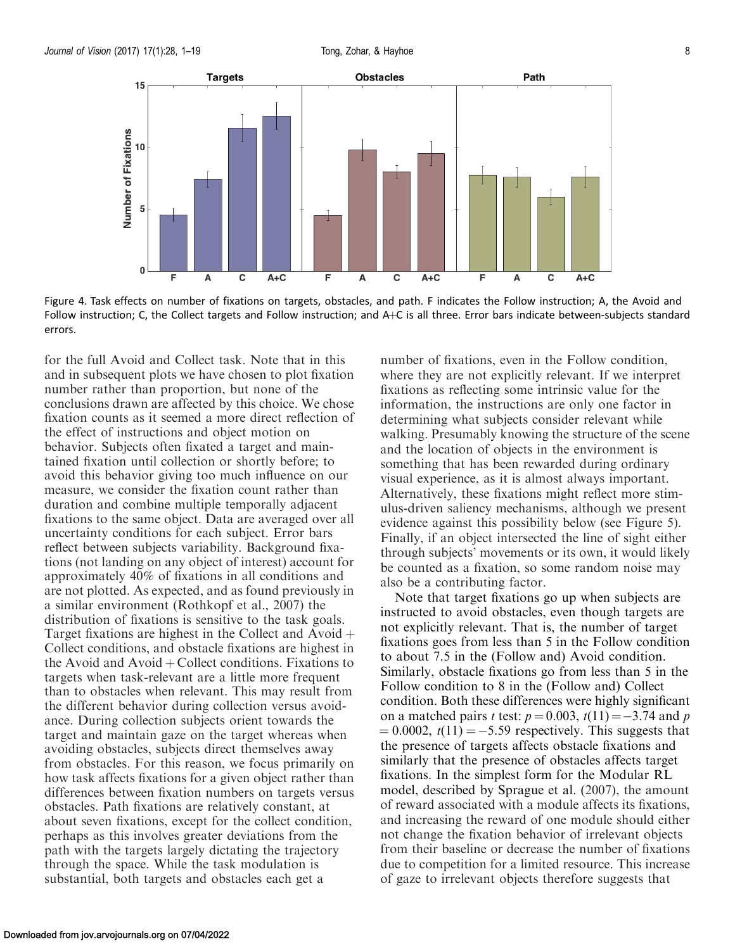Number of Fixations

<span id="page-7-0"></span>15

 $10$ 

5

**Targets** 





for the full Avoid and Collect task. Note that in this and in subsequent plots we have chosen to plot fixation number rather than proportion, but none of the conclusions drawn are affected by this choice. We chose fixation counts as it seemed a more direct reflection of the effect of instructions and object motion on behavior. Subjects often fixated a target and maintained fixation until collection or shortly before; to avoid this behavior giving too much influence on our measure, we consider the fixation count rather than duration and combine multiple temporally adjacent fixations to the same object. Data are averaged over all uncertainty conditions for each subject. Error bars reflect between subjects variability. Background fixations (not landing on any object of interest) account for approximately 40% of fixations in all conditions and are not plotted. As expected, and as found previously in a similar environment (Rothkopf et al., [2007\)](#page-17-0) the distribution of fixations is sensitive to the task goals. Target fixations are highest in the Collect and Avoid  $\pm$ Collect conditions, and obstacle fixations are highest in the Avoid and Avoid  $+$  Collect conditions. Fixations to targets when task-relevant are a little more frequent than to obstacles when relevant. This may result from the different behavior during collection versus avoidance. During collection subjects orient towards the target and maintain gaze on the target whereas when avoiding obstacles, subjects direct themselves away from obstacles. For this reason, we focus primarily on how task affects fixations for a given object rather than differences between fixation numbers on targets versus obstacles. Path fixations are relatively constant, at about seven fixations, except for the collect condition, perhaps as this involves greater deviations from the path with the targets largely dictating the trajectory through the space. While the task modulation is substantial, both targets and obstacles each get a

number of fixations, even in the Follow condition, where they are not explicitly relevant. If we interpret fixations as reflecting some intrinsic value for the information, the instructions are only one factor in determining what subjects consider relevant while walking. Presumably knowing the structure of the scene and the location of objects in the environment is something that has been rewarded during ordinary visual experience, as it is almost always important. Alternatively, these fixations might reflect more stimulus-driven saliency mechanisms, although we present evidence against this possibility below (see [Figure 5](#page-8-0)). Finally, if an object intersected the line of sight either through subjects' movements or its own, it would likely be counted as a fixation, so some random noise may also be a contributing factor.

Note that target fixations go up when subjects are instructed to avoid obstacles, even though targets are not explicitly relevant. That is, the number of target fixations goes from less than 5 in the Follow condition to about 7.5 in the (Follow and) Avoid condition. Similarly, obstacle fixations go from less than 5 in the Follow condition to 8 in the (Follow and) Collect condition. Both these differences were highly significant on a matched pairs t test:  $p = 0.003$ ,  $t(11) = -3.74$  and p  $= 0.0002$ ,  $t(11) = -5.59$  respectively. This suggests that the presence of targets affects obstacle fixations and similarly that the presence of obstacles affects target fixations. In the simplest form for the Modular RL model, described by Sprague et al. ([2007\)](#page-17-0), the amount of reward associated with a module affects its fixations, and increasing the reward of one module should either not change the fixation behavior of irrelevant objects from their baseline or decrease the number of fixations due to competition for a limited resource. This increase of gaze to irrelevant objects therefore suggests that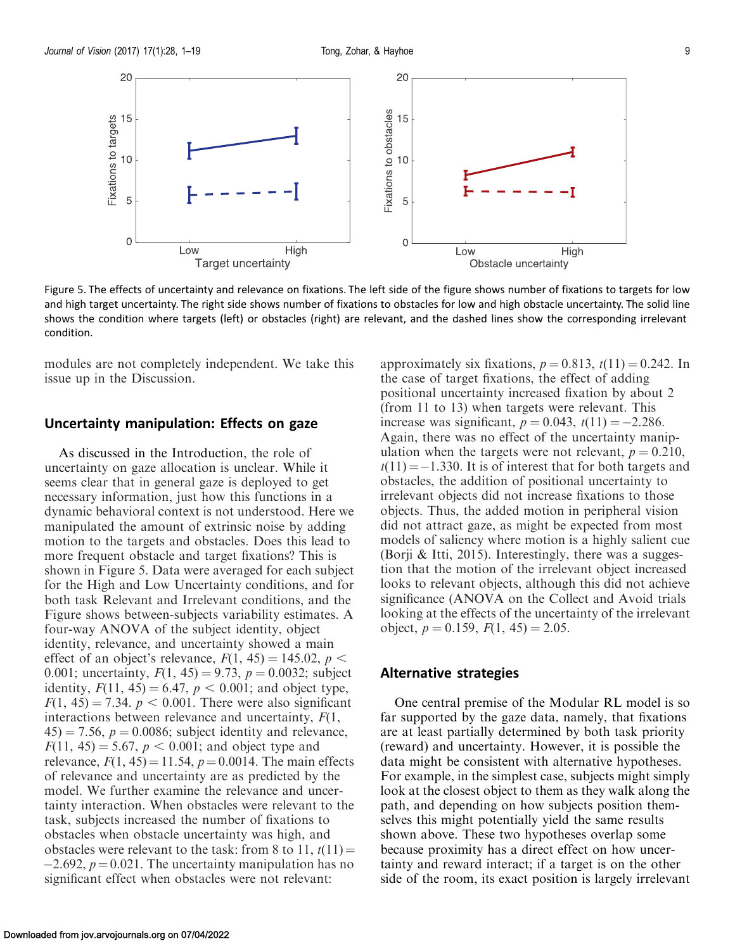<span id="page-8-0"></span>

Figure 5. The effects of uncertainty and relevance on fixations. The left side of the figure shows number of fixations to targets for low and high target uncertainty. The right side shows number of fixations to obstacles for low and high obstacle uncertainty. The solid line shows the condition where targets (left) or obstacles (right) are relevant, and the dashed lines show the corresponding irrelevant condition.

modules are not completely independent. We take this issue up in the [Discussion.](#page-12-0)

#### Uncertainty manipulation: Effects on gaze

As discussed in the [Introduction,](#page-0-0) the role of uncertainty on gaze allocation is unclear. While it seems clear that in general gaze is deployed to get necessary information, just how this functions in a dynamic behavioral context is not understood. Here we manipulated the amount of extrinsic noise by adding motion to the targets and obstacles. Does this lead to more frequent obstacle and target fixations? This is shown in Figure 5. Data were averaged for each subject for the High and Low Uncertainty conditions, and for both task Relevant and Irrelevant conditions, and the Figure shows between-subjects variability estimates. A four-way ANOVA of the subject identity, object identity, relevance, and uncertainty showed a main effect of an object's relevance,  $F(1, 45) = 145.02$ ,  $p <$ 0.001; uncertainty,  $F(1, 45) = 9.73$ ,  $p = 0.0032$ ; subject identity,  $F(11, 45) = 6.47$ ,  $p < 0.001$ ; and object type,  $F(1, 45) = 7.34$ .  $p < 0.001$ . There were also significant interactions between relevance and uncertainty,  $F(1, \theta)$  $(45) = 7.56$ ,  $p = 0.0086$ ; subject identity and relevance,  $F(11, 45) = 5.67$ ,  $p < 0.001$ ; and object type and relevance,  $F(1, 45) = 11.54$ ,  $p = 0.0014$ . The main effects of relevance and uncertainty are as predicted by the model. We further examine the relevance and uncertainty interaction. When obstacles were relevant to the task, subjects increased the number of fixations to obstacles when obstacle uncertainty was high, and obstacles were relevant to the task: from 8 to 11,  $t(11)$  =  $-2.692$ ,  $p = 0.021$ . The uncertainty manipulation has no significant effect when obstacles were not relevant:

approximately six fixations,  $p = 0.813$ ,  $t(11) = 0.242$ . In the case of target fixations, the effect of adding positional uncertainty increased fixation by about 2 (from 11 to 13) when targets were relevant. This increase was significant,  $p = 0.043$ ,  $t(11) = -2.286$ . Again, there was no effect of the uncertainty manipulation when the targets were not relevant,  $p = 0.210$ ,  $t(11) = -1.330$ . It is of interest that for both targets and obstacles, the addition of positional uncertainty to irrelevant objects did not increase fixations to those objects. Thus, the added motion in peripheral vision did not attract gaze, as might be expected from most models of saliency where motion is a highly salient cue (Borji & Itti, [2015\)](#page-16-0). Interestingly, there was a suggestion that the motion of the irrelevant object increased looks to relevant objects, although this did not achieve significance (ANOVA on the Collect and Avoid trials looking at the effects of the uncertainty of the irrelevant object,  $p = 0.159$ ,  $F(1, 45) = 2.05$ .

#### Alternative strategies

One central premise of the Modular RL model is so far supported by the gaze data, namely, that fixations are at least partially determined by both task priority (reward) and uncertainty. However, it is possible the data might be consistent with alternative hypotheses. For example, in the simplest case, subjects might simply look at the closest object to them as they walk along the path, and depending on how subjects position themselves this might potentially yield the same results shown above. These two hypotheses overlap some because proximity has a direct effect on how uncertainty and reward interact; if a target is on the other side of the room, its exact position is largely irrelevant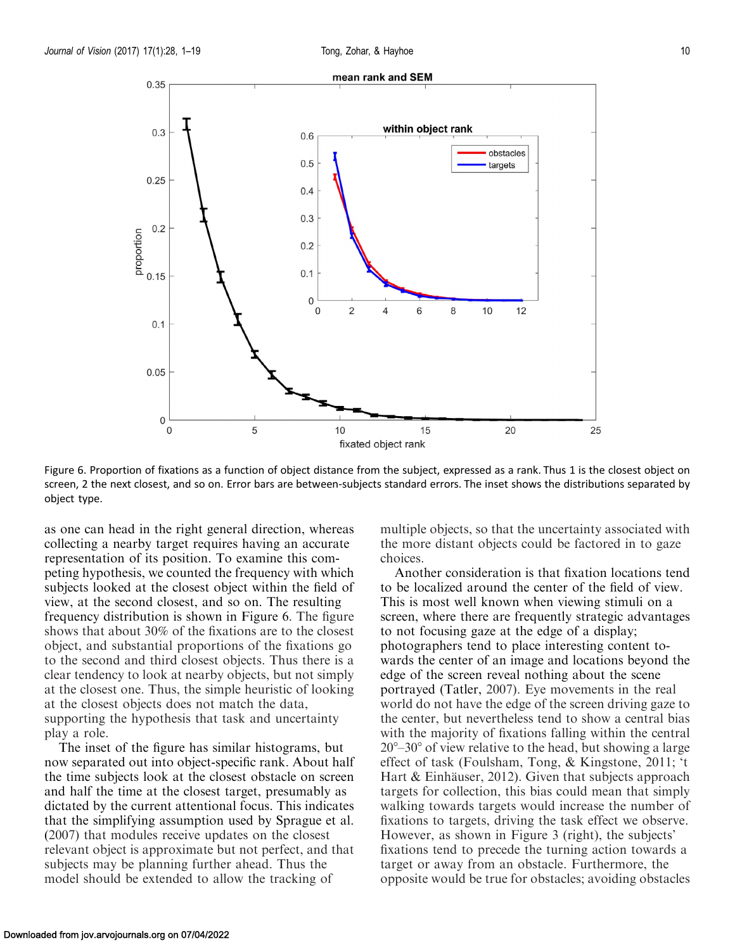

Figure 6. Proportion of fixations as a function of object distance from the subject, expressed as a rank. Thus 1 is the closest object on screen, 2 the next closest, and so on. Error bars are between-subjects standard errors. The inset shows the distributions separated by object type.

as one can head in the right general direction, whereas collecting a nearby target requires having an accurate representation of its position. To examine this competing hypothesis, we counted the frequency with which subjects looked at the closest object within the field of view, at the second closest, and so on. The resulting frequency distribution is shown in Figure 6. The figure shows that about 30% of the fixations are to the closest object, and substantial proportions of the fixations go to the second and third closest objects. Thus there is a clear tendency to look at nearby objects, but not simply at the closest one. Thus, the simple heuristic of looking at the closest objects does not match the data, supporting the hypothesis that task and uncertainty play a role.

The inset of the figure has similar histograms, but now separated out into object-specific rank. About half the time subjects look at the closest obstacle on screen and half the time at the closest target, presumably as dictated by the current attentional focus. This indicates that the simplifying assumption used by Sprague et al. ([2007\)](#page-17-0) that modules receive updates on the closest relevant object is approximate but not perfect, and that subjects may be planning further ahead. Thus the model should be extended to allow the tracking of

multiple objects, so that the uncertainty associated with the more distant objects could be factored in to gaze choices.

Another consideration is that fixation locations tend to be localized around the center of the field of view. This is most well known when viewing stimuli on a screen, where there are frequently strategic advantages to not focusing gaze at the edge of a display; photographers tend to place interesting content towards the center of an image and locations beyond the edge of the screen reveal nothing about the scene portrayed (Tatler, [2007](#page-17-0)). Eye movements in the real world do not have the edge of the screen driving gaze to the center, but nevertheless tend to show a central bias with the majority of fixations falling within the central  $20^{\circ}$ –30° of view relative to the head, but showing a large effect of task (Foulsham, Tong, & Kingstone, [2011;](#page-16-0) 't Hart & Einhäuser, [2012](#page-17-0)). Given that subjects approach targets for collection, this bias could mean that simply walking towards targets would increase the number of fixations to targets, driving the task effect we observe. However, as shown in [Figure 3](#page-5-0) (right), the subjects' fixations tend to precede the turning action towards a target or away from an obstacle. Furthermore, the opposite would be true for obstacles; avoiding obstacles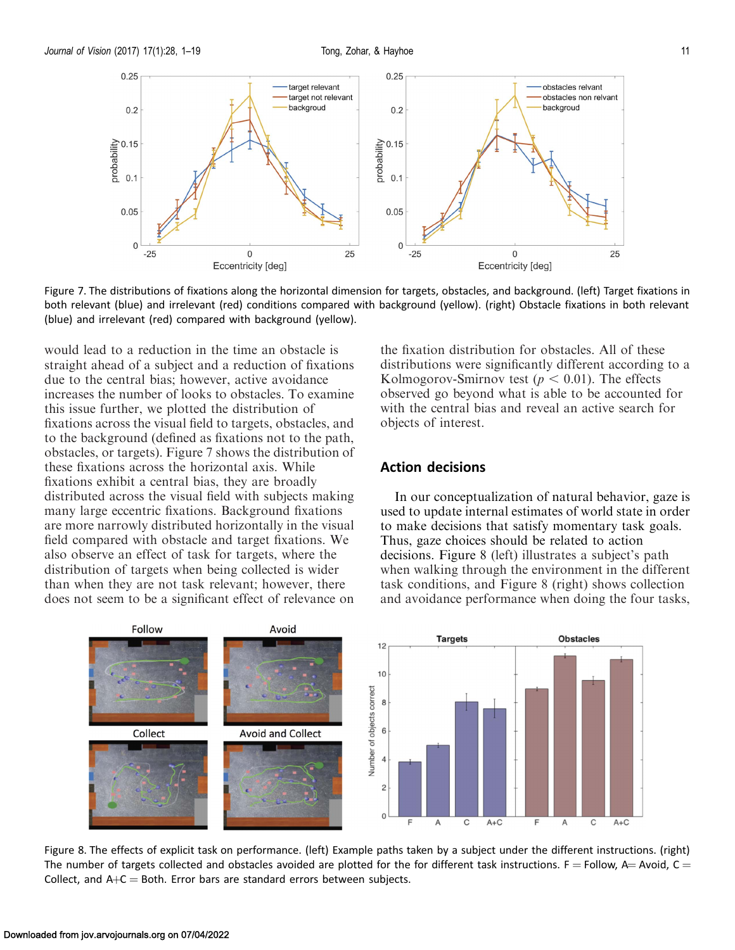<span id="page-10-0"></span>

Figure 7. The distributions of fixations along the horizontal dimension for targets, obstacles, and background. (left) Target fixations in both relevant (blue) and irrelevant (red) conditions compared with background (yellow). (right) Obstacle fixations in both relevant (blue) and irrelevant (red) compared with background (yellow).

would lead to a reduction in the time an obstacle is straight ahead of a subject and a reduction of fixations due to the central bias; however, active avoidance increases the number of looks to obstacles. To examine this issue further, we plotted the distribution of fixations across the visual field to targets, obstacles, and to the background (defined as fixations not to the path, obstacles, or targets). Figure 7 shows the distribution of these fixations across the horizontal axis. While fixations exhibit a central bias, they are broadly distributed across the visual field with subjects making many large eccentric fixations. Background fixations are more narrowly distributed horizontally in the visual field compared with obstacle and target fixations. We also observe an effect of task for targets, where the distribution of targets when being collected is wider than when they are not task relevant; however, there does not seem to be a significant effect of relevance on

the fixation distribution for obstacles. All of these distributions were significantly different according to a Kolmogorov-Smirnov test ( $p < 0.01$ ). The effects observed go beyond what is able to be accounted for with the central bias and reveal an active search for objects of interest.

#### Action decisions

In our conceptualization of natural behavior, gaze is used to update internal estimates of world state in order to make decisions that satisfy momentary task goals. Thus, gaze choices should be related to action decisions. Figure 8 (left) illustrates a subject's path when walking through the environment in the different task conditions, and Figure 8 (right) shows collection and avoidance performance when doing the four tasks,



Figure 8. The effects of explicit task on performance. (left) Example paths taken by a subject under the different instructions. (right) The number of targets collected and obstacles avoided are plotted for the for different task instructions. F = Follow, A = Avoid, C = Collect, and  $A+C =$  Both. Error bars are standard errors between subjects.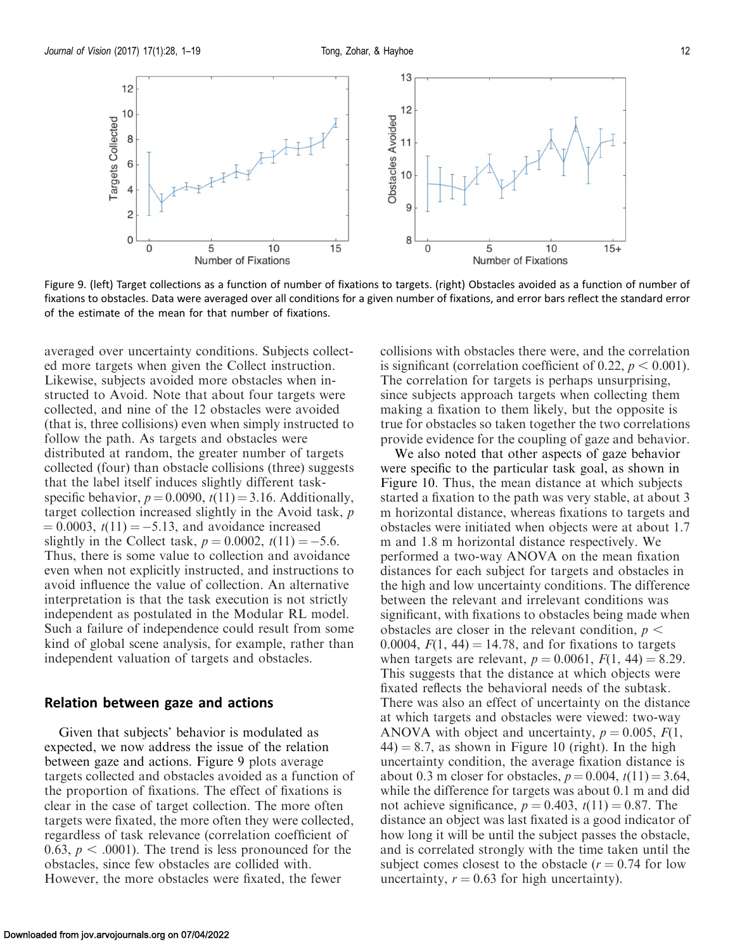

Figure 9. (left) Target collections as a function of number of fixations to targets. (right) Obstacles avoided as a function of number of fixations to obstacles. Data were averaged over all conditions for a given number of fixations, and error bars reflect the standard error of the estimate of the mean for that number of fixations.

averaged over uncertainty conditions. Subjects collected more targets when given the Collect instruction. Likewise, subjects avoided more obstacles when instructed to Avoid. Note that about four targets were collected, and nine of the 12 obstacles were avoided (that is, three collisions) even when simply instructed to follow the path. As targets and obstacles were distributed at random, the greater number of targets collected (four) than obstacle collisions (three) suggests that the label itself induces slightly different taskspecific behavior,  $p = 0.0090$ ,  $t(11) = 3.16$ . Additionally, target collection increased slightly in the Avoid task, p  $= 0.0003$ ,  $t(11) = -5.13$ , and avoidance increased slightly in the Collect task,  $p = 0.0002$ ,  $t(11) = -5.6$ . Thus, there is some value to collection and avoidance even when not explicitly instructed, and instructions to avoid influence the value of collection. An alternative interpretation is that the task execution is not strictly independent as postulated in the Modular RL model. Such a failure of independence could result from some kind of global scene analysis, for example, rather than independent valuation of targets and obstacles.

#### Relation between gaze and actions

Given that subjects' behavior is modulated as expected, we now address the issue of the relation between gaze and actions. Figure 9 plots average targets collected and obstacles avoided as a function of the proportion of fixations. The effect of fixations is clear in the case of target collection. The more often targets were fixated, the more often they were collected, regardless of task relevance (correlation coefficient of 0.63,  $p < .0001$ ). The trend is less pronounced for the obstacles, since few obstacles are collided with. However, the more obstacles were fixated, the fewer

The correlation for targets is perhaps unsurprising, since subjects approach targets when collecting them making a fixation to them likely, but the opposite is true for obstacles so taken together the two correlations provide evidence for the coupling of gaze and behavior. We also noted that other aspects of gaze behavior were specific to the particular task goal, as shown in

collisions with obstacles there were, and the correlation is significant (correlation coefficient of 0.22,  $p < 0.001$ ).

[Figure 10](#page-12-0). Thus, the mean distance at which subjects started a fixation to the path was very stable, at about 3 m horizontal distance, whereas fixations to targets and obstacles were initiated when objects were at about 1.7 m and 1.8 m horizontal distance respectively. We performed a two-way ANOVA on the mean fixation distances for each subject for targets and obstacles in the high and low uncertainty conditions. The difference between the relevant and irrelevant conditions was significant, with fixations to obstacles being made when obstacles are closer in the relevant condition,  $p <$ 0.0004,  $F(1, 44) = 14.78$ , and for fixations to targets when targets are relevant,  $p = 0.0061$ ,  $F(1, 44) = 8.29$ . This suggests that the distance at which objects were fixated reflects the behavioral needs of the subtask. There was also an effect of uncertainty on the distance at which targets and obstacles were viewed: two-way ANOVA with object and uncertainty,  $p = 0.005$ ,  $F(1)$ ,  $44$ ) = 8.7, as shown in [Figure 10](#page-12-0) (right). In the high uncertainty condition, the average fixation distance is about 0.3 m closer for obstacles,  $p = 0.004$ ,  $t(11) = 3.64$ , while the difference for targets was about 0.1 m and did not achieve significance,  $p = 0.403$ ,  $t(11) = 0.87$ . The distance an object was last fixated is a good indicator of how long it will be until the subject passes the obstacle, and is correlated strongly with the time taken until the subject comes closest to the obstacle  $(r = 0.74$  for low uncertainty,  $r = 0.63$  for high uncertainty).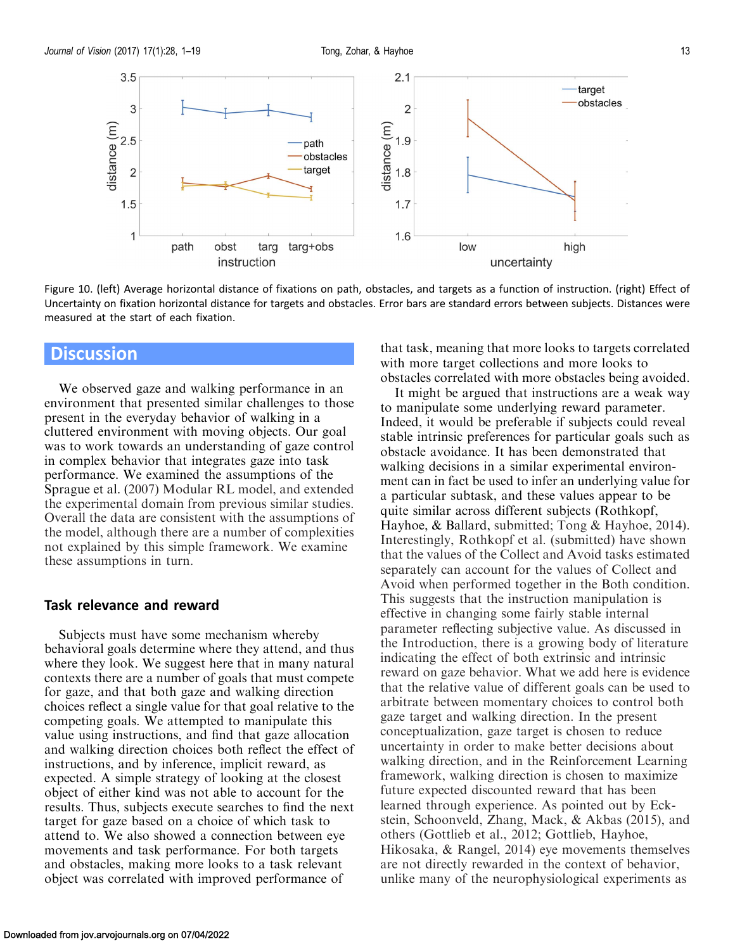<span id="page-12-0"></span>

Figure 10. (left) Average horizontal distance of fixations on path, obstacles, and targets as a function of instruction. (right) Effect of Uncertainty on fixation horizontal distance for targets and obstacles. Error bars are standard errors between subjects. Distances were measured at the start of each fixation.

### **Discussion**

We observed gaze and walking performance in an environment that presented similar challenges to those present in the everyday behavior of walking in a cluttered environment with moving objects. Our goal was to work towards an understanding of gaze control in complex behavior that integrates gaze into task performance. We examined the assumptions of the Sprague et al. [\(2007\)](#page-17-0) Modular RL model, and extended the experimental domain from previous similar studies. Overall the data are consistent with the assumptions of the model, although there are a number of complexities not explained by this simple framework. We examine these assumptions in turn.

#### Task relevance and reward

Subjects must have some mechanism whereby behavioral goals determine where they attend, and thus where they look. We suggest here that in many natural contexts there are a number of goals that must compete for gaze, and that both gaze and walking direction choices reflect a single value for that goal relative to the competing goals. We attempted to manipulate this value using instructions, and find that gaze allocation and walking direction choices both reflect the effect of instructions, and by inference, implicit reward, as expected. A simple strategy of looking at the closest object of either kind was not able to account for the results. Thus, subjects execute searches to find the next target for gaze based on a choice of which task to attend to. We also showed a connection between eye movements and task performance. For both targets and obstacles, making more looks to a task relevant object was correlated with improved performance of

that task, meaning that more looks to targets correlated with more target collections and more looks to obstacles correlated with more obstacles being avoided.

It might be argued that instructions are a weak way to manipulate some underlying reward parameter. Indeed, it would be preferable if subjects could reveal stable intrinsic preferences for particular goals such as obstacle avoidance. It has been demonstrated that walking decisions in a similar experimental environment can in fact be used to infer an underlying value for a particular subtask, and these values appear to be quite similar across different subjects (Rothkopf, Hayhoe, & Ballard, [submitted](#page-17-0); Tong & Hayhoe, [2014](#page-17-0)). Interestingly, Rothkopf et al. [\(submitted\)](#page-17-0) have shown that the values of the Collect and Avoid tasks estimated separately can account for the values of Collect and Avoid when performed together in the Both condition. This suggests that the instruction manipulation is effective in changing some fairly stable internal parameter reflecting subjective value. As discussed in the [Introduction,](#page-0-0) there is a growing body of literature indicating the effect of both extrinsic and intrinsic reward on gaze behavior. What we add here is evidence that the relative value of different goals can be used to arbitrate between momentary choices to control both gaze target and walking direction. In the present conceptualization, gaze target is chosen to reduce uncertainty in order to make better decisions about walking direction, and in the Reinforcement Learning framework, walking direction is chosen to maximize future expected discounted reward that has been learned through experience. As pointed out by Eckstein, Schoonveld, Zhang, Mack, & Akbas [\(2015](#page-16-0)), and others (Gottlieb et al., [2012](#page-16-0); Gottlieb, Hayhoe, Hikosaka, & Rangel, [2014](#page-16-0)) eye movements themselves are not directly rewarded in the context of behavior, unlike many of the neurophysiological experiments as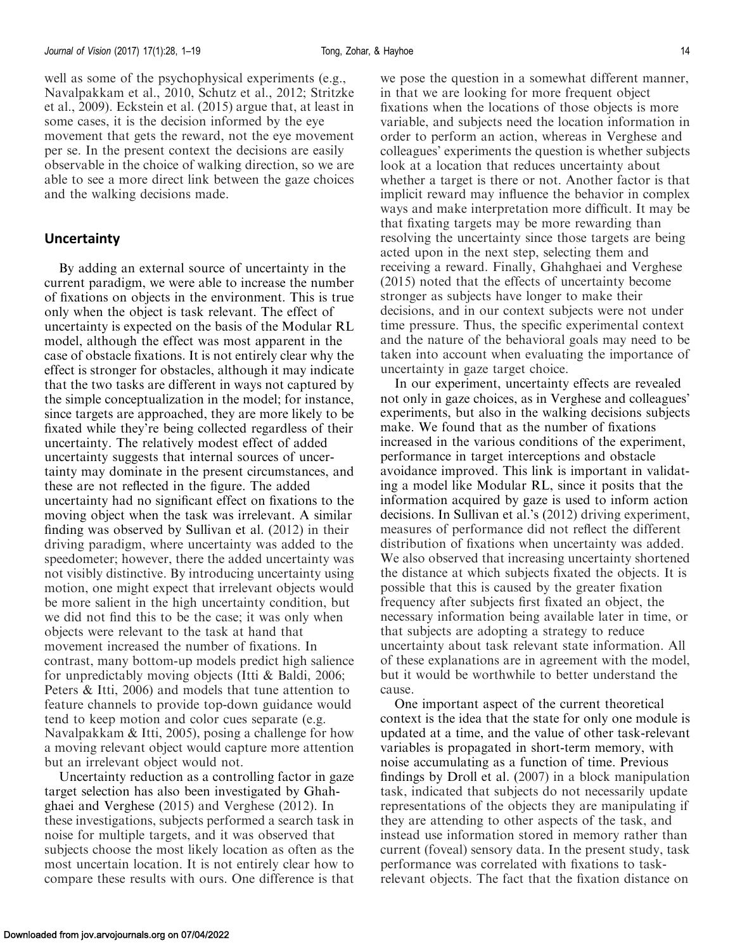well as some of the psychophysical experiments (e.g., Navalpakkam et al., [2010](#page-17-0), Schutz et al., [2012](#page-17-0); Stritzke et al., [2009](#page-17-0)). Eckstein et al. [\(2015](#page-16-0)) argue that, at least in some cases, it is the decision informed by the eye movement that gets the reward, not the eye movement per se. In the present context the decisions are easily observable in the choice of walking direction, so we are able to see a more direct link between the gaze choices and the walking decisions made.

#### Uncertainty

By adding an external source of uncertainty in the current paradigm, we were able to increase the number of fixations on objects in the environment. This is true only when the object is task relevant. The effect of uncertainty is expected on the basis of the Modular RL model, although the effect was most apparent in the case of obstacle fixations. It is not entirely clear why the effect is stronger for obstacles, although it may indicate that the two tasks are different in ways not captured by the simple conceptualization in the model; for instance, since targets are approached, they are more likely to be fixated while they're being collected regardless of their uncertainty. The relatively modest effect of added uncertainty suggests that internal sources of uncertainty may dominate in the present circumstances, and these are not reflected in the figure. The added uncertainty had no significant effect on fixations to the moving object when the task was irrelevant. A similar finding was observed by Sullivan et al. [\(2012](#page-17-0)) in their driving paradigm, where uncertainty was added to the speedometer; however, there the added uncertainty was not visibly distinctive. By introducing uncertainty using motion, one might expect that irrelevant objects would be more salient in the high uncertainty condition, but we did not find this to be the case; it was only when objects were relevant to the task at hand that movement increased the number of fixations. In contrast, many bottom-up models predict high salience for unpredictably moving objects (Itti & Baldi, [2006;](#page-16-0) Peters & Itti, [2006](#page-17-0)) and models that tune attention to feature channels to provide top-down guidance would tend to keep motion and color cues separate (e.g. Navalpakkam & Itti, [2005](#page-17-0)), posing a challenge for how a moving relevant object would capture more attention but an irrelevant object would not.

Uncertainty reduction as a controlling factor in gaze target selection has also been investigated by Ghahghaei and Verghese [\(2015](#page-16-0)) and Verghese ([2012\)](#page-18-0). In these investigations, subjects performed a search task in noise for multiple targets, and it was observed that subjects choose the most likely location as often as the most uncertain location. It is not entirely clear how to compare these results with ours. One difference is that we pose the question in a somewhat different manner, in that we are looking for more frequent object fixations when the locations of those objects is more variable, and subjects need the location information in order to perform an action, whereas in Verghese and colleagues' experiments the question is whether subjects look at a location that reduces uncertainty about whether a target is there or not. Another factor is that implicit reward may influence the behavior in complex ways and make interpretation more difficult. It may be that fixating targets may be more rewarding than resolving the uncertainty since those targets are being acted upon in the next step, selecting them and receiving a reward. Finally, Ghahghaei and Verghese ([2015](#page-16-0)) noted that the effects of uncertainty become stronger as subjects have longer to make their decisions, and in our context subjects were not under time pressure. Thus, the specific experimental context and the nature of the behavioral goals may need to be taken into account when evaluating the importance of uncertainty in gaze target choice.

In our experiment, uncertainty effects are revealed not only in gaze choices, as in Verghese and colleagues' experiments, but also in the walking decisions subjects make. We found that as the number of fixations increased in the various conditions of the experiment, performance in target interceptions and obstacle avoidance improved. This link is important in validating a model like Modular RL, since it posits that the information acquired by gaze is used to inform action decisions. In Sullivan et al.'s ([2012\)](#page-17-0) driving experiment, measures of performance did not reflect the different distribution of fixations when uncertainty was added. We also observed that increasing uncertainty shortened the distance at which subjects fixated the objects. It is possible that this is caused by the greater fixation frequency after subjects first fixated an object, the necessary information being available later in time, or that subjects are adopting a strategy to reduce uncertainty about task relevant state information. All of these explanations are in agreement with the model, but it would be worthwhile to better understand the cause.

One important aspect of the current theoretical context is the idea that the state for only one module is updated at a time, and the value of other task-relevant variables is propagated in short-term memory, with noise accumulating as a function of time. Previous findings by Droll et al. ([2007\)](#page-16-0) in a block manipulation task, indicated that subjects do not necessarily update representations of the objects they are manipulating if they are attending to other aspects of the task, and instead use information stored in memory rather than current (foveal) sensory data. In the present study, task performance was correlated with fixations to taskrelevant objects. The fact that the fixation distance on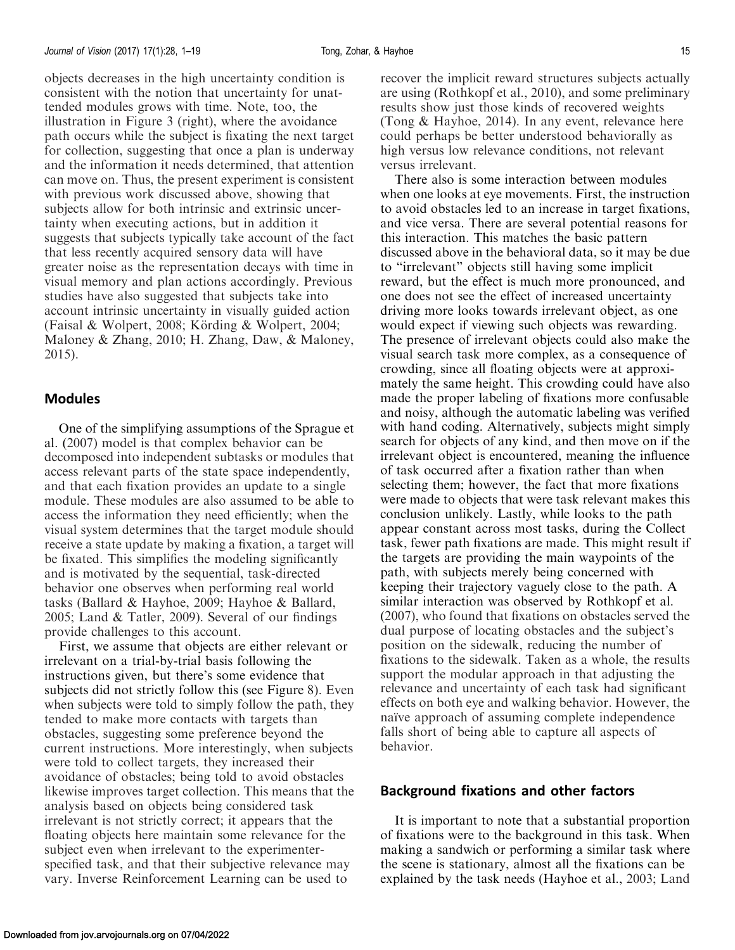objects decreases in the high uncertainty condition is consistent with the notion that uncertainty for unattended modules grows with time. Note, too, the illustration in [Figure 3](#page-5-0) (right), where the avoidance path occurs while the subject is fixating the next target for collection, suggesting that once a plan is underway and the information it needs determined, that attention can move on. Thus, the present experiment is consistent with previous work discussed above, showing that subjects allow for both intrinsic and extrinsic uncertainty when executing actions, but in addition it suggests that subjects typically take account of the fact that less recently acquired sensory data will have greater noise as the representation decays with time in visual memory and plan actions accordingly. Previous studies have also suggested that subjects take into account intrinsic uncertainty in visually guided action (Faisal & Wolpert, [2008;](#page-16-0) Körding & Wolpert, [2004](#page-16-0); Maloney & Zhang, [2010](#page-17-0); H. Zhang, Daw, & Maloney, [2015\)](#page-18-0).

#### Modules

One of the simplifying assumptions of the Sprague et al. ([2007\)](#page-17-0) model is that complex behavior can be decomposed into independent subtasks or modules that access relevant parts of the state space independently, and that each fixation provides an update to a single module. These modules are also assumed to be able to access the information they need efficiently; when the visual system determines that the target module should receive a state update by making a fixation, a target will be fixated. This simplifies the modeling significantly and is motivated by the sequential, task-directed behavior one observes when performing real world tasks (Ballard & Hayhoe, [2009](#page-15-0); Hayhoe & Ballard, [2005;](#page-16-0) Land & Tatler, [2009](#page-17-0)). Several of our findings provide challenges to this account.

First, we assume that objects are either relevant or irrelevant on a trial-by-trial basis following the instructions given, but there's some evidence that subjects did not strictly follow this (see [Figure 8\)](#page-10-0). Even when subjects were told to simply follow the path, they tended to make more contacts with targets than obstacles, suggesting some preference beyond the current instructions. More interestingly, when subjects were told to collect targets, they increased their avoidance of obstacles; being told to avoid obstacles likewise improves target collection. This means that the analysis based on objects being considered task irrelevant is not strictly correct; it appears that the floating objects here maintain some relevance for the subject even when irrelevant to the experimenterspecified task, and that their subjective relevance may vary. Inverse Reinforcement Learning can be used to

recover the implicit reward structures subjects actually are using (Rothkopf et al., [2010](#page-17-0)), and some preliminary results show just those kinds of recovered weights (Tong & Hayhoe, [2014\)](#page-17-0). In any event, relevance here could perhaps be better understood behaviorally as high versus low relevance conditions, not relevant versus irrelevant.

There also is some interaction between modules when one looks at eye movements. First, the instruction to avoid obstacles led to an increase in target fixations, and vice versa. There are several potential reasons for this interaction. This matches the basic pattern discussed above in the behavioral data, so it may be due to ''irrelevant'' objects still having some implicit reward, but the effect is much more pronounced, and one does not see the effect of increased uncertainty driving more looks towards irrelevant object, as one would expect if viewing such objects was rewarding. The presence of irrelevant objects could also make the visual search task more complex, as a consequence of crowding, since all floating objects were at approximately the same height. This crowding could have also made the proper labeling of fixations more confusable and noisy, although the automatic labeling was verified with hand coding. Alternatively, subjects might simply search for objects of any kind, and then move on if the irrelevant object is encountered, meaning the influence of task occurred after a fixation rather than when selecting them; however, the fact that more fixations were made to objects that were task relevant makes this conclusion unlikely. Lastly, while looks to the path appear constant across most tasks, during the Collect task, fewer path fixations are made. This might result if the targets are providing the main waypoints of the path, with subjects merely being concerned with keeping their trajectory vaguely close to the path. A similar interaction was observed by Rothkopf et al. ([2007](#page-17-0)), who found that fixations on obstacles served the dual purpose of locating obstacles and the subject's position on the sidewalk, reducing the number of fixations to the sidewalk. Taken as a whole, the results support the modular approach in that adjusting the relevance and uncertainty of each task had significant effects on both eye and walking behavior. However, the naïve approach of assuming complete independence falls short of being able to capture all aspects of behavior.

#### Background fixations and other factors

It is important to note that a substantial proportion of fixations were to the background in this task. When making a sandwich or performing a similar task where the scene is stationary, almost all the fixations can be explained by the task needs (Hayhoe et al., [2003;](#page-16-0) Land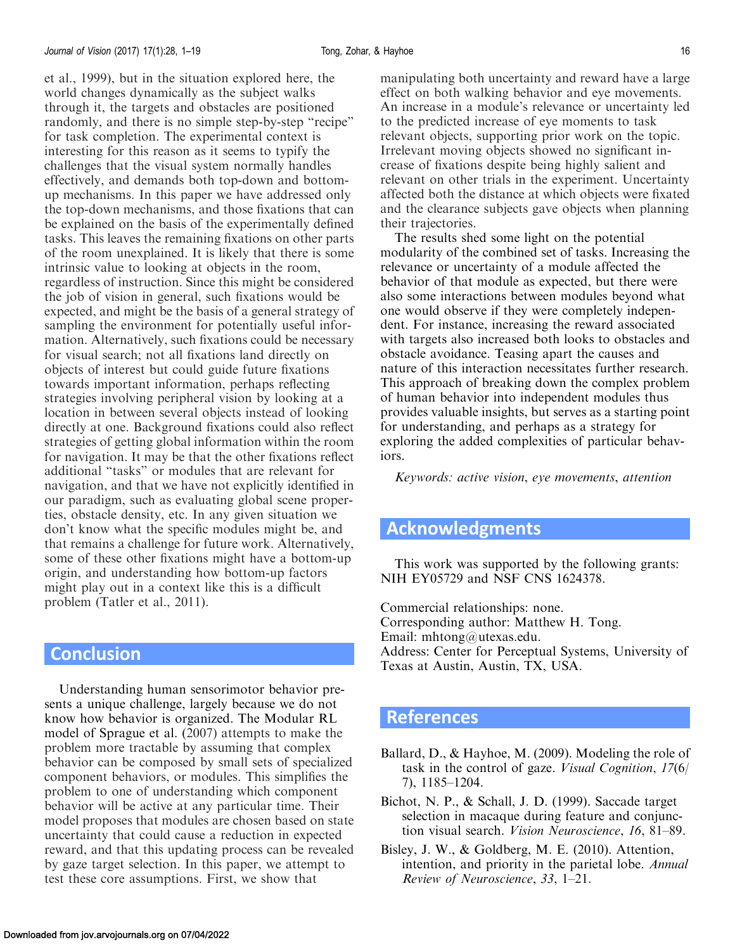<span id="page-15-0"></span>et al., [1999](#page-16-0)), but in the situation explored here, the world changes dynamically as the subject walks through it, the targets and obstacles are positioned randomly, and there is no simple step-by-step "recipe" for task completion. The experimental context is interesting for this reason as it seems to typify the challenges that the visual system normally handles effectively, and demands both top-down and bottomup mechanisms. In this paper we have addressed only the top-down mechanisms, and those fixations that can be explained on the basis of the experimentally defined tasks. This leaves the remaining fixations on other parts of the room unexplained. It is likely that there is some intrinsic value to looking at objects in the room, regardless of instruction. Since this might be considered the job of vision in general, such fixations would be expected, and might be the basis of a general strategy of sampling the environment for potentially useful information. Alternatively, such fixations could be necessary for visual search; not all fixations land directly on objects of interest but could guide future fixations towards important information, perhaps reflecting strategies involving peripheral vision by looking at a location in between several objects instead of looking directly at one. Background fixations could also reflect strategies of getting global information within the room for navigation. It may be that the other fixations reflect additional ''tasks'' or modules that are relevant for navigation, and that we have not explicitly identified in our paradigm, such as evaluating global scene properties, obstacle density, etc. In any given situation we don't know what the specific modules might be, and that remains a challenge for future work. Alternatively, some of these other fixations might have a bottom-up origin, and understanding how bottom-up factors might play out in a context like this is a difficult problem (Tatler et al., [2011](#page-17-0)).

## **Conclusion**

Understanding human sensorimotor behavior presents a unique challenge, largely because we do not know how behavior is organized. The Modular RL model of Sprague et al. [\(2007](#page-17-0)) attempts to make the problem more tractable by assuming that complex behavior can be composed by small sets of specialized component behaviors, or modules. This simplifies the problem to one of understanding which component behavior will be active at any particular time. Their model proposes that modules are chosen based on state uncertainty that could cause a reduction in expected reward, and that this updating process can be revealed by gaze target selection. In this paper, we attempt to test these core assumptions. First, we show that

manipulating both uncertainty and reward have a large effect on both walking behavior and eye movements. An increase in a module's relevance or uncertainty led to the predicted increase of eye moments to task relevant objects, supporting prior work on the topic. Irrelevant moving objects showed no significant increase of fixations despite being highly salient and relevant on other trials in the experiment. Uncertainty affected both the distance at which objects were fixated and the clearance subjects gave objects when planning their trajectories.

The results shed some light on the potential modularity of the combined set of tasks. Increasing the relevance or uncertainty of a module affected the behavior of that module as expected, but there were also some interactions between modules beyond what one would observe if they were completely independent. For instance, increasing the reward associated with targets also increased both looks to obstacles and obstacle avoidance. Teasing apart the causes and nature of this interaction necessitates further research. This approach of breaking down the complex problem of human behavior into independent modules thus provides valuable insights, but serves as a starting point for understanding, and perhaps as a strategy for exploring the added complexities of particular behaviors.

Keywords: active vision, eye movements, attention

## Acknowledgments

This work was supported by the following grants: NIH EY05729 and NSF CNS 1624378.

Commercial relationships: none. Corresponding author: Matthew H. Tong. Email: [mhtong@utexas.edu.](mailto:mhtong@utexas.edu) Address: Center for Perceptual Systems, University of Texas at Austin, Austin, TX, USA.

## References

- Ballard, D., & Hayhoe, M. (2009). Modeling the role of task in the control of gaze. Visual Cognition, 17(6/ 7), 1185–1204.
- Bichot, N. P., & Schall, J. D. (1999). Saccade target selection in macaque during feature and conjunction visual search. Vision Neuroscience, 16, 81–89.
- Bisley, J. W., & Goldberg, M. E. (2010). Attention, intention, and priority in the parietal lobe. Annual Review of Neuroscience, 33, 1–21.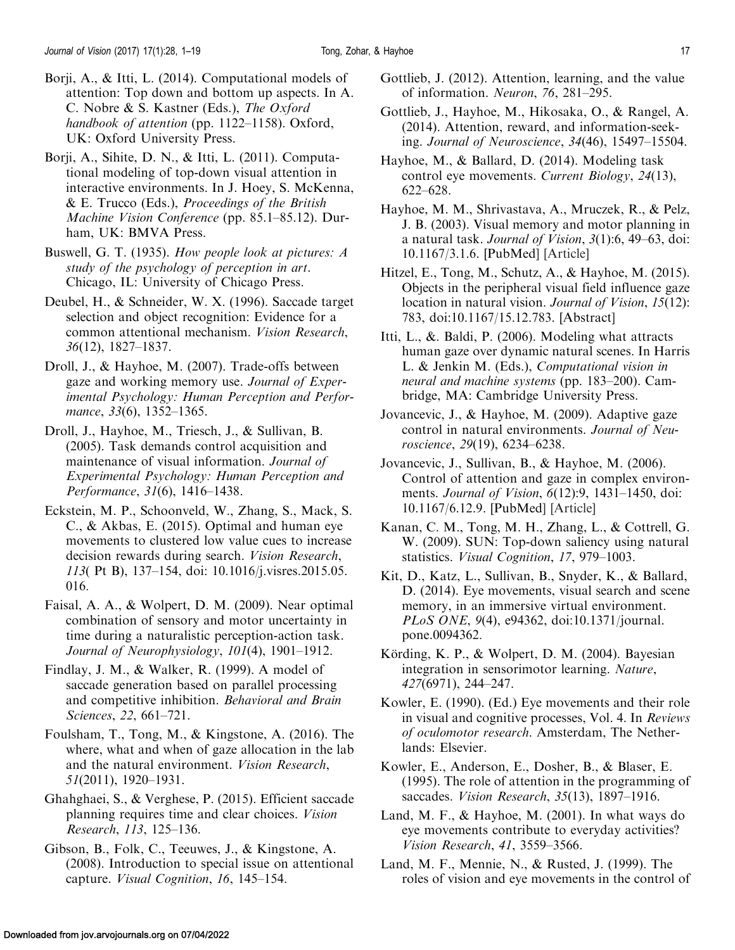- <span id="page-16-0"></span>Borji, A., & Itti, L. (2014). Computational models of attention: Top down and bottom up aspects. In A. C. Nobre & S. Kastner (Eds.), The Oxford handbook of attention (pp. 1122–1158). Oxford, UK: Oxford University Press.
- Borji, A., Sihite, D. N., & Itti, L. (2011). Computational modeling of top-down visual attention in interactive environments. In J. Hoey, S. McKenna, & E. Trucco (Eds.), Proceedings of the British Machine Vision Conference (pp. 85.1–85.12). Durham, UK: BMVA Press.
- Buswell, G. T. (1935). How people look at pictures: A study of the psychology of perception in art. Chicago, IL: University of Chicago Press.
- Deubel, H., & Schneider, W. X. (1996). Saccade target selection and object recognition: Evidence for a common attentional mechanism. Vision Research, 36(12), 1827–1837.
- Droll, J., & Hayhoe, M. (2007). Trade-offs between gaze and working memory use. Journal of Experimental Psychology: Human Perception and Performance, 33(6), 1352–1365.
- Droll, J., Hayhoe, M., Triesch, J., & Sullivan, B. (2005). Task demands control acquisition and maintenance of visual information. Journal of Experimental Psychology: Human Perception and Performance, 31(6), 1416–1438.
- Eckstein, M. P., Schoonveld, W., Zhang, S., Mack, S. C., & Akbas, E. (2015). Optimal and human eye movements to clustered low value cues to increase decision rewards during search. Vision Research, 113( Pt B), 137–154, doi: 10.1016/j.visres.2015.05. 016.
- Faisal, A. A., & Wolpert, D. M. (2009). Near optimal combination of sensory and motor uncertainty in time during a naturalistic perception-action task. Journal of Neurophysiology, 101(4), 1901–1912.
- Findlay, J. M., & Walker, R. (1999). A model of saccade generation based on parallel processing and competitive inhibition. Behavioral and Brain Sciences, 22, 661–721.
- Foulsham, T., Tong, M., & Kingstone, A. (2016). The where, what and when of gaze allocation in the lab and the natural environment. Vision Research, 51(2011), 1920–1931.
- Ghahghaei, S., & Verghese, P. (2015). Efficient saccade planning requires time and clear choices. Vision Research, 113, 125–136.
- Gibson, B., Folk, C., Teeuwes, J., & Kingstone, A. (2008). Introduction to special issue on attentional capture. Visual Cognition, 16, 145–154.
- Gottlieb, J. (2012). Attention, learning, and the value of information. Neuron, 76, 281–295.
- Gottlieb, J., Hayhoe, M., Hikosaka, O., & Rangel, A. (2014). Attention, reward, and information-seeking. Journal of Neuroscience, 34(46), 15497–15504.
- Hayhoe, M., & Ballard, D. (2014). Modeling task control eye movements. Current Biology, 24(13), 622–628.
- Hayhoe, M. M., Shrivastava, A., Mruczek, R., & Pelz, J. B. (2003). Visual memory and motor planning in a natural task. Journal of Vision, 3(1):6, 49–63, doi: 10.1167/3.1.6. [\[PubMed\]](https://www.ncbi.nlm.nih.gov/pubmed/12678625) [\[Article](http://jov.arvojournals.org/article.aspx?articleid=2158157)]
- Hitzel, E., Tong, M., Schutz, A., & Hayhoe, M. (2015). Objects in the peripheral visual field influence gaze location in natural vision. Journal of Vision, 15(12): 783, doi:10.1167/15.12.783. [\[Abstract\]](http://jov.arvojournals.org/article.aspx?articleid=2433891&resultClick=1)
- Itti, L., &. Baldi, P. (2006). Modeling what attracts human gaze over dynamic natural scenes. In Harris L. & Jenkin M. (Eds.), Computational vision in neural and machine systems (pp. 183–200). Cambridge, MA: Cambridge University Press.
- Jovancevic, J., & Hayhoe, M. (2009). Adaptive gaze control in natural environments. Journal of Neuroscience, 29(19), 6234–6238.
- Jovancevic, J., Sullivan, B., & Hayhoe, M. (2006). Control of attention and gaze in complex environments. Journal of Vision, 6(12):9, 1431–1450, doi: 10.1167/6.12.9. [[PubMed](https://www.ncbi.nlm.nih.gov/pubmed/17209746)] [[Article](http://jov.arvojournals.org/article.aspx?articleid=2193695)]
- Kanan, C. M., Tong, M. H., Zhang, L., & Cottrell, G. W. (2009). SUN: Top-down saliency using natural statistics. Visual Cognition, 17, 979–1003.
- Kit, D., Katz, L., Sullivan, B., Snyder, K., & Ballard, D. (2014). Eye movements, visual search and scene memory, in an immersive virtual environment. PLoS ONE, 9(4), e94362, doi:[10.1371/journal.](http://dx.doi.org/10.1371/journal.pone.0094362) [pone.0094362](http://dx.doi.org/10.1371/journal.pone.0094362).
- Körding, K. P.,  $\&$  Wolpert, D. M. (2004). Bayesian integration in sensorimotor learning. Nature, 427(6971), 244–247.
- Kowler, E. (1990). (Ed.) Eye movements and their role in visual and cognitive processes, Vol. 4. In Reviews of oculomotor research. Amsterdam, The Netherlands: Elsevier.
- Kowler, E., Anderson, E., Dosher, B., & Blaser, E. (1995). The role of attention in the programming of saccades. *Vision Research*, 35(13), 1897–1916.
- Land, M. F., & Hayhoe, M. (2001). In what ways do eye movements contribute to everyday activities? Vision Research, 41, 3559–3566.
- Land, M. F., Mennie, N., & Rusted, J. (1999). The roles of vision and eye movements in the control of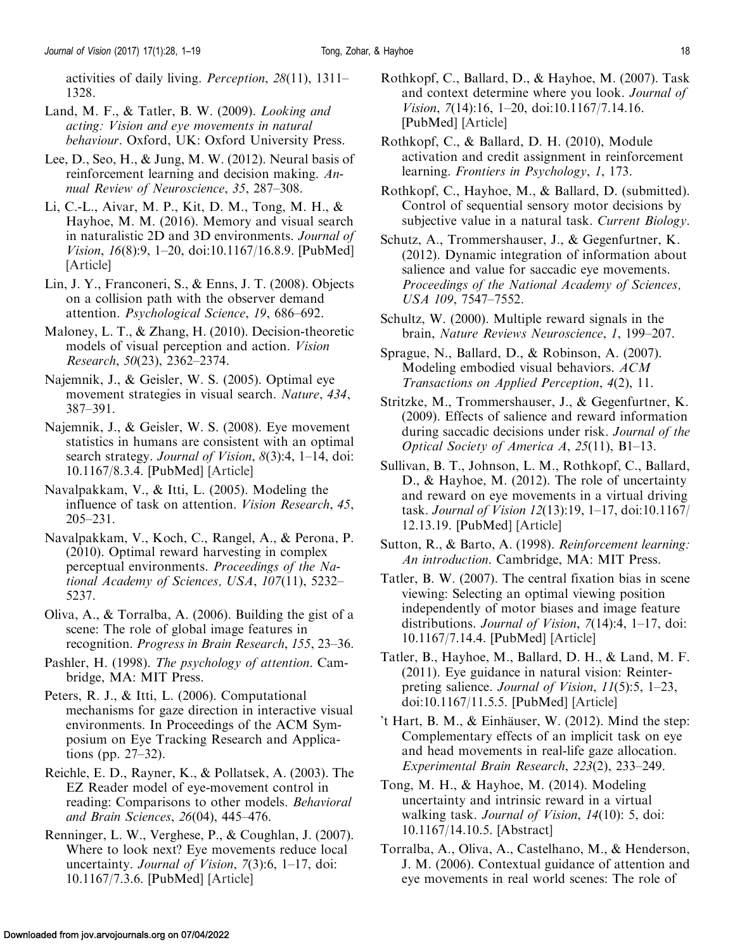<span id="page-17-0"></span>activities of daily living. Perception, 28(11), 1311– 1328.

- Land, M. F., & Tatler, B. W. (2009). Looking and acting: Vision and eye movements in natural behaviour. Oxford, UK: Oxford University Press.
- Lee, D., Seo, H., & Jung, M. W. (2012). Neural basis of reinforcement learning and decision making. Annual Review of Neuroscience, 35, 287–308.
- Li, C.-L., Aivar, M. P., Kit, D. M., Tong, M. H., & Hayhoe, M. M. (2016). Memory and visual search in naturalistic 2D and 3D environments. Journal of Vision, 16(8):9, 1–20, doi:10.1167/16.8.9. [[PubMed](https://www.ncbi.nlm.nih.gov/pubmed/27299769)] [[Article\]](http://jov.arvojournals.org/article.aspx?articleid=2528621)
- Lin, J. Y., Franconeri, S., & Enns, J. T. (2008). Objects on a collision path with the observer demand attention. Psychological Science, 19, 686–692.
- Maloney, L. T., & Zhang, H. (2010). Decision-theoretic models of visual perception and action. Vision Research, 50(23), 2362–2374.
- Najemnik, J., & Geisler, W. S. (2005). Optimal eye movement strategies in visual search. Nature, 434, 387–391.
- Najemnik, J., & Geisler, W. S. (2008). Eye movement statistics in humans are consistent with an optimal search strategy. Journal of Vision, 8(3):4, 1–14, doi: 10.1167/8.3.4. [\[PubMed\]](https://www.ncbi.nlm.nih.gov/pubmed/18484810) [\[Article](http://jov.arvojournals.org/article.aspx?articleid=2122647)]
- Navalpakkam, V., & Itti, L. (2005). Modeling the influence of task on attention. Vision Research, 45, 205–231.
- Navalpakkam, V., Koch, C., Rangel, A., & Perona, P. (2010). Optimal reward harvesting in complex perceptual environments. Proceedings of the National Academy of Sciences, USA, 107(11), 5232– 5237.
- Oliva, A., & Torralba, A. (2006). Building the gist of a scene: The role of global image features in recognition. Progress in Brain Research, 155, 23–36.
- Pashler, H. (1998). The psychology of attention. Cambridge, MA: MIT Press.
- Peters, R. J., & Itti, L. (2006). Computational mechanisms for gaze direction in interactive visual environments. In Proceedings of the ACM Symposium on Eye Tracking Research and Applications (pp. 27–32).
- Reichle, E. D., Rayner, K., & Pollatsek, A. (2003). The EZ Reader model of eye-movement control in reading: Comparisons to other models. Behavioral and Brain Sciences, 26(04), 445–476.
- Renninger, L. W., Verghese, P., & Coughlan, J. (2007). Where to look next? Eye movements reduce local uncertainty. Journal of Vision, 7(3):6, 1-17, doi: 10.1167/7.3.6. [\[PubMed\]](https://www.ncbi.nlm.nih.gov/pubmed/17461684) [\[Article](http://jov.arvojournals.org/article.aspx?articleid=2121988)]
- Rothkopf, C., Ballard, D., & Hayhoe, M. (2007). Task and context determine where you look. Journal of Vision, 7(14):16, 1–20, doi:10.1167/7.14.16. [[PubMed](https://www.ncbi.nlm.nih.gov/pubmed/18217811)] [[Article\]](http://jov.arvojournals.org/article.aspx?articleid=2121973)
- Rothkopf, C., & Ballard, D. H. (2010), Module activation and credit assignment in reinforcement learning. Frontiers in Psychology, 1, 173.
- Rothkopf, C., Hayhoe, M., & Ballard, D. (submitted). Control of sequential sensory motor decisions by subjective value in a natural task. Current Biology.
- Schutz, A., Trommershauser, J., & Gegenfurtner, K. (2012). Dynamic integration of information about salience and value for saccadic eye movements. Proceedings of the National Academy of Sciences, USA 109, 7547–7552.
- Schultz, W. (2000). Multiple reward signals in the brain, Nature Reviews Neuroscience, 1, 199–207.
- Sprague, N., Ballard, D., & Robinson, A. (2007). Modeling embodied visual behaviors. ACM Transactions on Applied Perception, 4(2), 11.
- Stritzke, M., Trommershauser, J., & Gegenfurtner, K. (2009). Effects of salience and reward information during saccadic decisions under risk. Journal of the Optical Society of America A, 25(11), B1–13.
- Sullivan, B. T., Johnson, L. M., Rothkopf, C., Ballard, D., & Hayhoe, M. (2012). The role of uncertainty and reward on eye movements in a virtual driving task. Journal of Vision 12(13):19, 1–17, doi:10.1167/ 12.13.19. [\[PubMed\]](https://www.ncbi.nlm.nih.gov/pubmed/23262151) [\[Article\]](http://jov.arvojournals.org/article.aspx?articleid=2121208)
- Sutton, R., & Barto, A. (1998). Reinforcement learning: An introduction. Cambridge, MA: MIT Press.
- Tatler, B. W. (2007). The central fixation bias in scene viewing: Selecting an optimal viewing position independently of motor biases and image feature distributions. *Journal of Vision*,  $7(14):4$ ,  $1-17$ , doi: 10.1167/7.14.4. [[PubMed](https://www.ncbi.nlm.nih.gov/pubmed/18217799)] [[Article](http://jov.arvojournals.org/article.aspx?articleid=2122066)]
- Tatler, B., Hayhoe, M., Ballard, D. H., & Land, M. F. (2011). Eye guidance in natural vision: Reinterpreting salience. Journal of Vision, 11(5):5, 1–23, doi:10.1167/11.5.5. [[PubMed](https://www.ncbi.nlm.nih.gov/pubmed/21622729)] [[Article](http://jov.arvojournals.org/article.aspx?articleid=2191873)]
- 't Hart, B. M.,  $& Einhäuser, W. (2012)$ . Mind the step: Complementary effects of an implicit task on eye and head movements in real-life gaze allocation. Experimental Brain Research, 223(2), 233–249.
- Tong, M. H., & Hayhoe, M. (2014). Modeling uncertainty and intrinsic reward in a virtual walking task. Journal of Vision, 14(10): 5, doi: 10.1167/14.10.5. [\[Abstract\]](http://jov.arvojournals.org/article.aspx?articleid=2143866&resultClick=1)
- Torralba, A., Oliva, A., Castelhano, M., & Henderson, J. M. (2006). Contextual guidance of attention and eye movements in real world scenes: The role of